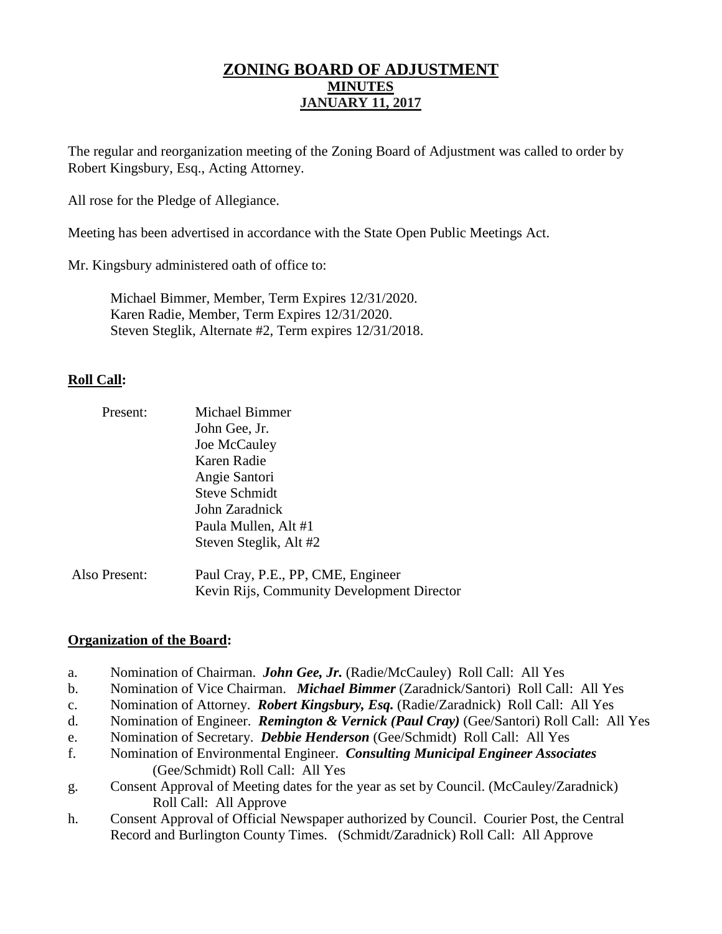# **ZONING BOARD OF ADJUSTMENT MINUTES JANUARY 11, 2017**

The regular and reorganization meeting of the Zoning Board of Adjustment was called to order by Robert Kingsbury, Esq., Acting Attorney.

All rose for the Pledge of Allegiance.

Meeting has been advertised in accordance with the State Open Public Meetings Act.

Mr. Kingsbury administered oath of office to:

Michael Bimmer, Member, Term Expires 12/31/2020. Karen Radie, Member, Term Expires 12/31/2020. Steven Steglik, Alternate #2, Term expires 12/31/2018.

### **Roll Call:**

| Present:      | Michael Bimmer                             |
|---------------|--------------------------------------------|
|               | John Gee, Jr.                              |
|               | Joe McCauley                               |
|               | Karen Radie                                |
|               | Angie Santori                              |
|               | <b>Steve Schmidt</b>                       |
|               | John Zaradnick                             |
|               | Paula Mullen, Alt #1                       |
|               | Steven Steglik, Alt #2                     |
| Also Present: | Paul Cray, P.E., PP, CME, Engineer         |
|               | Kevin Rijs, Community Development Director |

### **Organization of the Board:**

- a. Nomination of Chairman. *John Gee, Jr.* (Radie/McCauley) Roll Call: All Yes
- b. Nomination of Vice Chairman. *Michael Bimmer* (Zaradnick/Santori) Roll Call: All Yes
- c. Nomination of Attorney. *Robert Kingsbury, Esq.* (Radie/Zaradnick) Roll Call: All Yes
- d. Nomination of Engineer. *Remington & Vernick (Paul Cray)* (Gee/Santori) Roll Call: All Yes
- e. Nomination of Secretary. *Debbie Henderson* (Gee/Schmidt) Roll Call: All Yes
- f. Nomination of Environmental Engineer. *Consulting Municipal Engineer Associates* (Gee/Schmidt) Roll Call: All Yes
- g. Consent Approval of Meeting dates for the year as set by Council. (McCauley/Zaradnick) Roll Call: All Approve
- h. Consent Approval of Official Newspaper authorized by Council. Courier Post, the Central Record and Burlington County Times. (Schmidt/Zaradnick) Roll Call: All Approve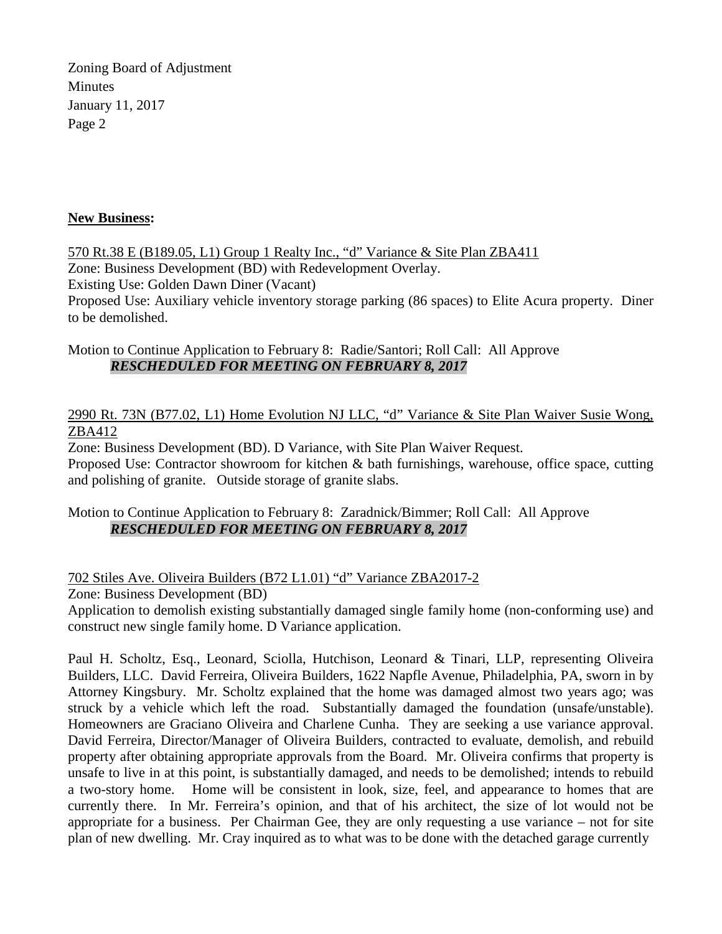Zoning Board of Adjustment **Minutes** January 11, 2017 Page 2

### **New Business:**

Zone: Business Development (BD) with Redevelopment Overlay. 570 Rt.38 E (B189.05, L1) Group 1 Realty Inc., "d" Variance & Site Plan ZBA411 Existing Use: Golden Dawn Diner (Vacant) Proposed Use: Auxiliary vehicle inventory storage parking (86 spaces) to Elite Acura property. Diner to be demolished.

## Motion to Continue Application to February 8: Radie/Santori; Roll Call: All Approve *RESCHEDULED FOR MEETING ON FEBRUARY 8, 2017*

# 2990 Rt. 73N (B77.02, L1) Home Evolution NJ LLC, "d" Variance & Site Plan Waiver Susie Wong, ZBA412

Zone: Business Development (BD). D Variance, with Site Plan Waiver Request.

Proposed Use: Contractor showroom for kitchen & bath furnishings, warehouse, office space, cutting and polishing of granite. Outside storage of granite slabs.

### Motion to Continue Application to February 8: Zaradnick/Bimmer; Roll Call: All Approve *RESCHEDULED FOR MEETING ON FEBRUARY 8, 2017*

702 Stiles Ave. Oliveira Builders (B72 L1.01) "d" Variance ZBA2017-2

Zone: Business Development (BD)

Application to demolish existing substantially damaged single family home (non-conforming use) and construct new single family home. D Variance application.

Paul H. Scholtz, Esq., Leonard, Sciolla, Hutchison, Leonard & Tinari, LLP, representing Oliveira Builders, LLC. David Ferreira, Oliveira Builders, 1622 Napfle Avenue, Philadelphia, PA, sworn in by Attorney Kingsbury. Mr. Scholtz explained that the home was damaged almost two years ago; was struck by a vehicle which left the road. Substantially damaged the foundation (unsafe/unstable). Homeowners are Graciano Oliveira and Charlene Cunha. They are seeking a use variance approval. David Ferreira, Director/Manager of Oliveira Builders, contracted to evaluate, demolish, and rebuild property after obtaining appropriate approvals from the Board. Mr. Oliveira confirms that property is unsafe to live in at this point, is substantially damaged, and needs to be demolished; intends to rebuild a two-story home. Home will be consistent in look, size, feel, and appearance to homes that are currently there. In Mr. Ferreira's opinion, and that of his architect, the size of lot would not be appropriate for a business. Per Chairman Gee, they are only requesting a use variance – not for site plan of new dwelling. Mr. Cray inquired as to what was to be done with the detached garage currently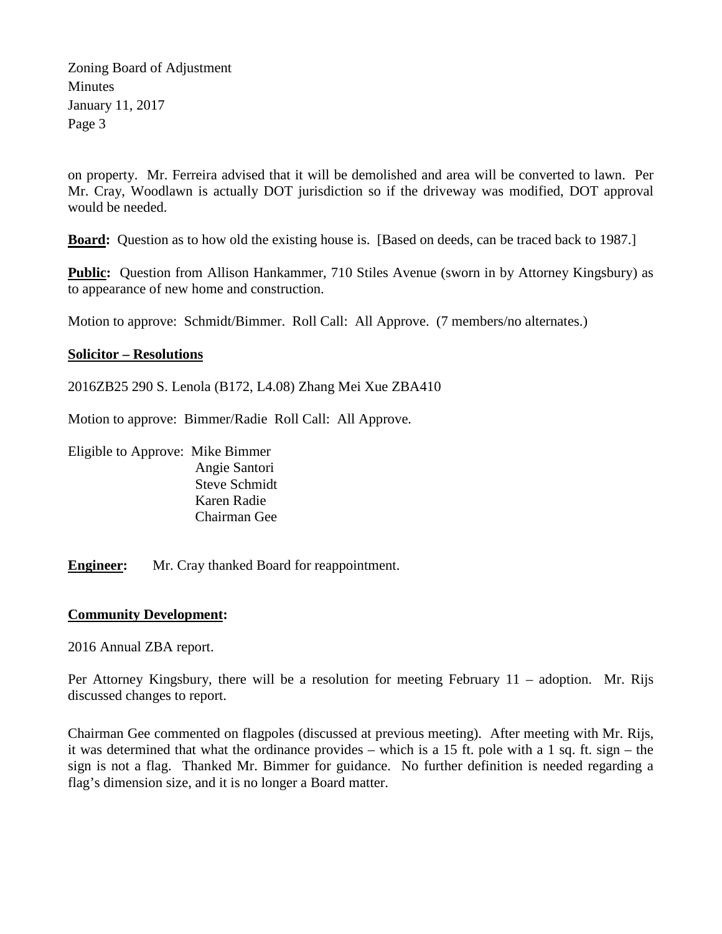Zoning Board of Adjustment **Minutes** January 11, 2017 Page 3

on property. Mr. Ferreira advised that it will be demolished and area will be converted to lawn. Per Mr. Cray, Woodlawn is actually DOT jurisdiction so if the driveway was modified, DOT approval would be needed.

**Board:** Question as to how old the existing house is. [Based on deeds, can be traced back to 1987.]

**Public:** Question from Allison Hankammer, 710 Stiles Avenue (sworn in by Attorney Kingsbury) as to appearance of new home and construction.

Motion to approve: Schmidt/Bimmer. Roll Call: All Approve. (7 members/no alternates.)

#### **Solicitor – Resolutions**

2016ZB25 290 S. Lenola (B172, L4.08) Zhang Mei Xue ZBA410

Motion to approve: Bimmer/Radie Roll Call: All Approve.

Eligible to Approve: Mike Bimmer Angie Santori Steve Schmidt Karen Radie Chairman Gee

**Engineer:** Mr. Cray thanked Board for reappointment.

#### **Community Development:**

2016 Annual ZBA report.

Per Attorney Kingsbury, there will be a resolution for meeting February 11 – adoption. Mr. Rijs discussed changes to report.

Chairman Gee commented on flagpoles (discussed at previous meeting). After meeting with Mr. Rijs, it was determined that what the ordinance provides – which is a 15 ft. pole with a 1 sq. ft. sign – the sign is not a flag. Thanked Mr. Bimmer for guidance. No further definition is needed regarding a flag's dimension size, and it is no longer a Board matter.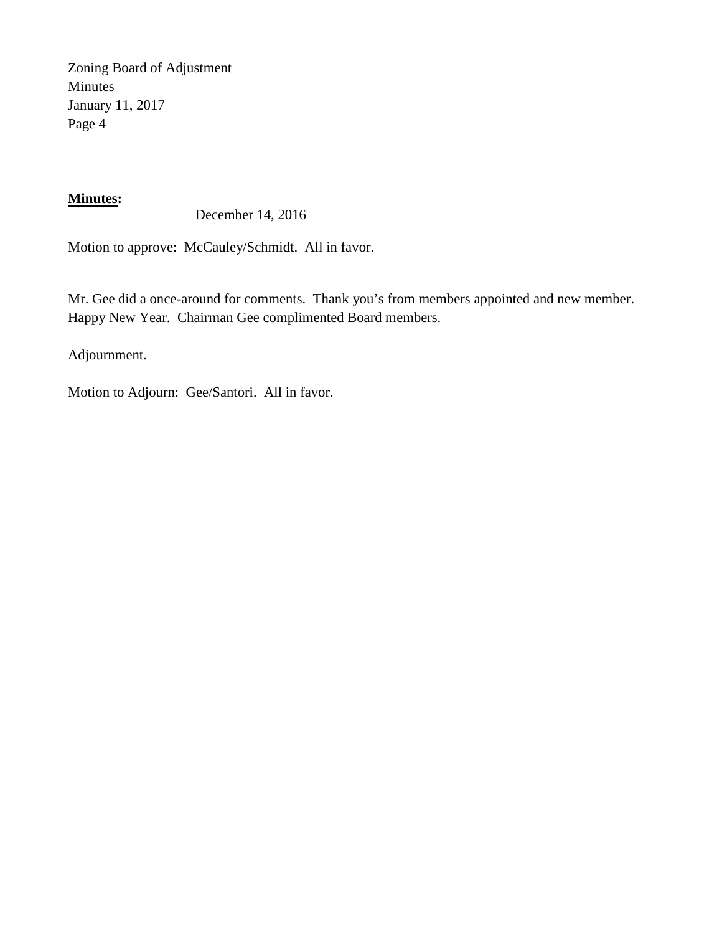Zoning Board of Adjustment Minutes January 11, 2017 Page 4

### **Minutes :**

December 14, 2016

Motion to approve: McCauley/Schmidt. All in favor.

Mr. Gee did a once-around for comments. Thank you's from members appointed and new member. Happy New Year. Chairman Gee complimented Board members.

Adjournment.

Motion to Adjourn: Gee/Santori. All in favor.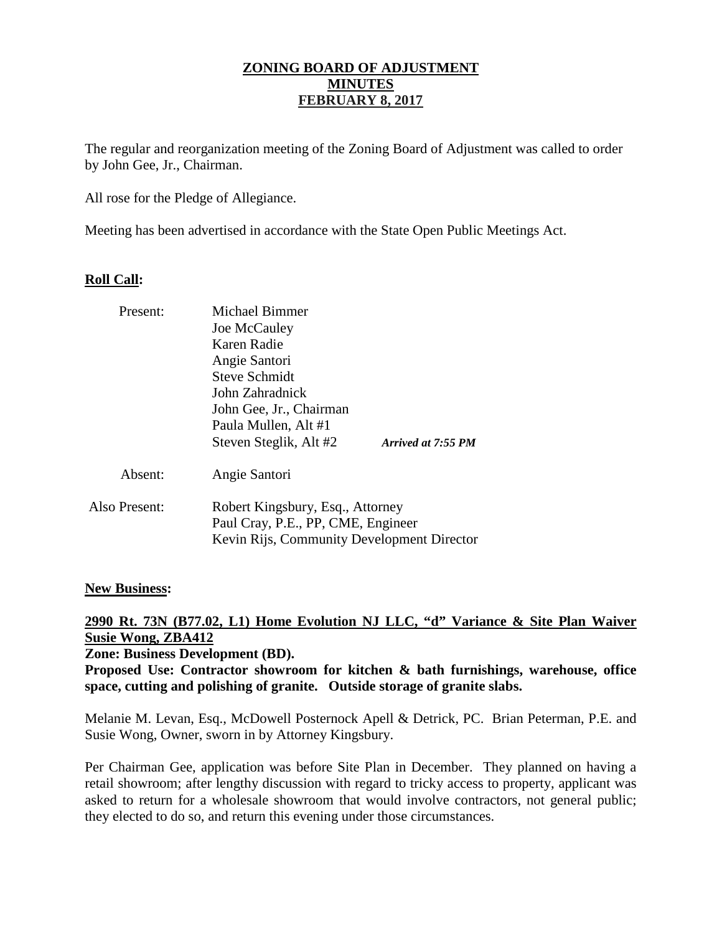The regular and reorganization meeting of the Zoning Board of Adjustment was called to order by John Gee, Jr., Chairman.

All rose for the Pledge of Allegiance.

Meeting has been advertised in accordance with the State Open Public Meetings Act.

### **Roll Call:**

| Present:      | Michael Bimmer                                                                                                       |                    |
|---------------|----------------------------------------------------------------------------------------------------------------------|--------------------|
|               | Joe McCauley                                                                                                         |                    |
|               | Karen Radie                                                                                                          |                    |
|               | Angie Santori                                                                                                        |                    |
|               | <b>Steve Schmidt</b>                                                                                                 |                    |
|               | John Zahradnick                                                                                                      |                    |
|               | John Gee, Jr., Chairman                                                                                              |                    |
|               | Paula Mullen, Alt #1                                                                                                 |                    |
|               | Steven Steglik, Alt #2                                                                                               | Arrived at 7:55 PM |
| Absent:       | Angie Santori                                                                                                        |                    |
| Also Present: | Robert Kingsbury, Esq., Attorney<br>Paul Cray, P.E., PP, CME, Engineer<br>Kevin Rijs, Community Development Director |                    |

#### **New Business:**

# **2990 Rt. 73N (B77.02, L1) Home Evolution NJ LLC, "d" Variance & Site Plan Waiver Susie Wong, ZBA412**

#### **Zone: Business Development (BD).**

**Proposed Use: Contractor showroom for kitchen & bath furnishings, warehouse, office space, cutting and polishing of granite. Outside storage of granite slabs.** 

Melanie M. Levan, Esq., McDowell Posternock Apell & Detrick, PC. Brian Peterman, P.E. and Susie Wong, Owner, sworn in by Attorney Kingsbury.

Per Chairman Gee, application was before Site Plan in December. They planned on having a retail showroom; after lengthy discussion with regard to tricky access to property, applicant was asked to return for a wholesale showroom that would involve contractors, not general public; they elected to do so, and return this evening under those circumstances.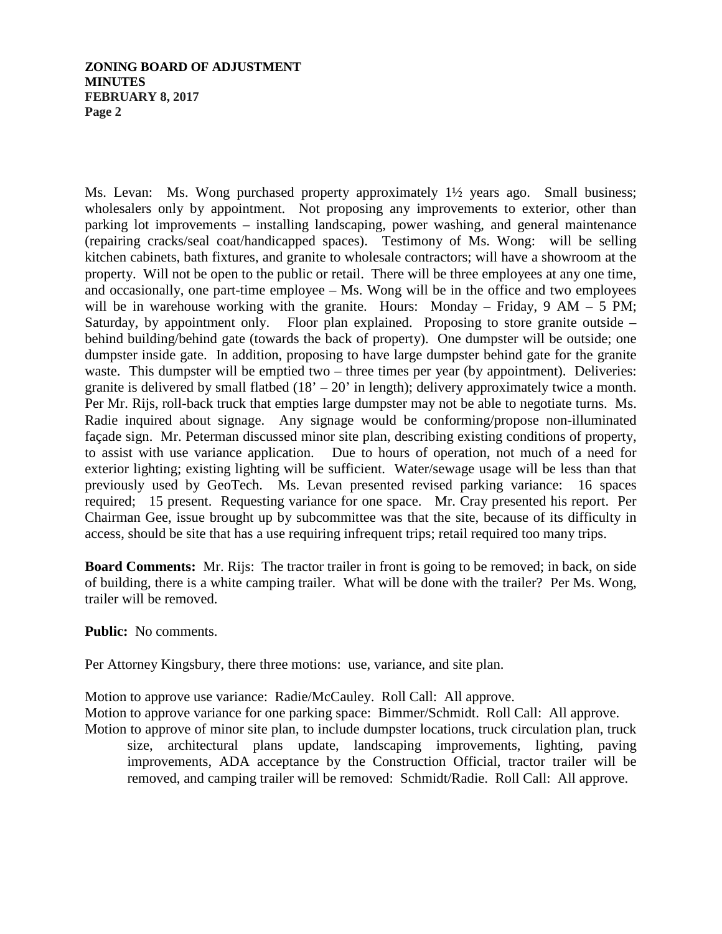Ms. Levan: Ms. Wong purchased property approximately 1<sup>1</sup>/<sub>2</sub> years ago. Small business; wholesalers only by appointment. Not proposing any improvements to exterior, other than parking lot improvements – installing landscaping, power washing, and general maintenance (repairing cracks/seal coat/handicapped spaces). Testimony of Ms. Wong: will be selling kitchen cabinets, bath fixtures, and granite to wholesale contractors; will have a showroom at the property. Will not be open to the public or retail. There will be three employees at any one time, and occasionally, one part-time employee – Ms. Wong will be in the office and two employees will be in warehouse working with the granite. Hours: Monday – Friday,  $9 AM - 5 PM$ ; Saturday, by appointment only. Floor plan explained. Proposing to store granite outside – behind building/behind gate (towards the back of property). One dumpster will be outside; one dumpster inside gate. In addition, proposing to have large dumpster behind gate for the granite waste. This dumpster will be emptied two – three times per year (by appointment). Deliveries: granite is delivered by small flatbed  $(18' - 20'$  in length); delivery approximately twice a month. Per Mr. Rijs, roll-back truck that empties large dumpster may not be able to negotiate turns. Ms. Radie inquired about signage. Any signage would be conforming/propose non-illuminated façade sign. Mr. Peterman discussed minor site plan, describing existing conditions of property, to assist with use variance application. Due to hours of operation, not much of a need for exterior lighting; existing lighting will be sufficient. Water/sewage usage will be less than that previously used by GeoTech. Ms. Levan presented revised parking variance: 16 spaces required; 15 present. Requesting variance for one space. Mr. Cray presented his report. Per Chairman Gee, issue brought up by subcommittee was that the site, because of its difficulty in access, should be site that has a use requiring infrequent trips; retail required too many trips.

**Board Comments:** Mr. Rijs: The tractor trailer in front is going to be removed; in back, on side of building, there is a white camping trailer. What will be done with the trailer? Per Ms. Wong, trailer will be removed.

**Public:** No comments.

Per Attorney Kingsbury, there three motions: use, variance, and site plan.

Motion to approve use variance: Radie/McCauley. Roll Call: All approve.

Motion to approve variance for one parking space: Bimmer/Schmidt. Roll Call: All approve.

Motion to approve of minor site plan, to include dumpster locations, truck circulation plan, truck size, architectural plans update, landscaping improvements, lighting, paving improvements, ADA acceptance by the Construction Official, tractor trailer will be removed, and camping trailer will be removed: Schmidt/Radie. Roll Call: All approve.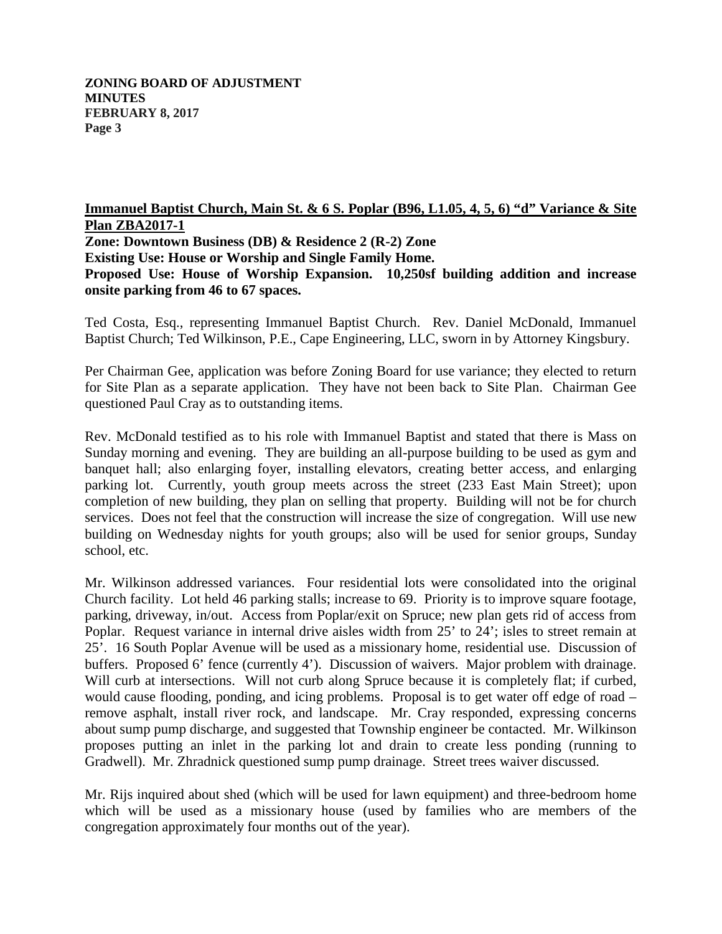**Zone: Downtown Business (DB) & Residence 2 (R-2) Zone Immanuel Baptist Church, Main St. & 6 S. Poplar (B96, L1.05, 4, 5, 6) "d" Variance & Site Plan ZBA2017-1 Existing Use: House or Worship and Single Family Home. Proposed Use: House of Worship Expansion. 10,250sf building addition and increase onsite parking from 46 to 67 spaces.**

Ted Costa, Esq., representing Immanuel Baptist Church. Rev. Daniel McDonald, Immanuel Baptist Church; Ted Wilkinson, P.E., Cape Engineering, LLC, sworn in by Attorney Kingsbury.

Per Chairman Gee, application was before Zoning Board for use variance; they elected to return for Site Plan as a separate application. They have not been back to Site Plan. Chairman Gee questioned Paul Cray as to outstanding items.

Rev. McDonald testified as to his role with Immanuel Baptist and stated that there is Mass on Sunday morning and evening. They are building an all-purpose building to be used as gym and banquet hall; also enlarging foyer, installing elevators, creating better access, and enlarging parking lot. Currently, youth group meets across the street (233 East Main Street); upon completion of new building, they plan on selling that property. Building will not be for church services. Does not feel that the construction will increase the size of congregation. Will use new building on Wednesday nights for youth groups; also will be used for senior groups, Sunday school, etc.

Mr. Wilkinson addressed variances. Four residential lots were consolidated into the original Church facility. Lot held 46 parking stalls; increase to 69. Priority is to improve square footage, parking, driveway, in/out. Access from Poplar/exit on Spruce; new plan gets rid of access from Poplar. Request variance in internal drive aisles width from 25' to 24'; isles to street remain at 25'. 16 South Poplar Avenue will be used as a missionary home, residential use. Discussion of buffers. Proposed 6' fence (currently 4'). Discussion of waivers. Major problem with drainage. Will curb at intersections. Will not curb along Spruce because it is completely flat; if curbed, would cause flooding, ponding, and icing problems. Proposal is to get water off edge of road – remove asphalt, install river rock, and landscape. Mr. Cray responded, expressing concerns about sump pump discharge, and suggested that Township engineer be contacted. Mr. Wilkinson proposes putting an inlet in the parking lot and drain to create less ponding (running to Gradwell). Mr. Zhradnick questioned sump pump drainage. Street trees waiver discussed.

Mr. Rijs inquired about shed (which will be used for lawn equipment) and three-bedroom home which will be used as a missionary house (used by families who are members of the congregation approximately four months out of the year).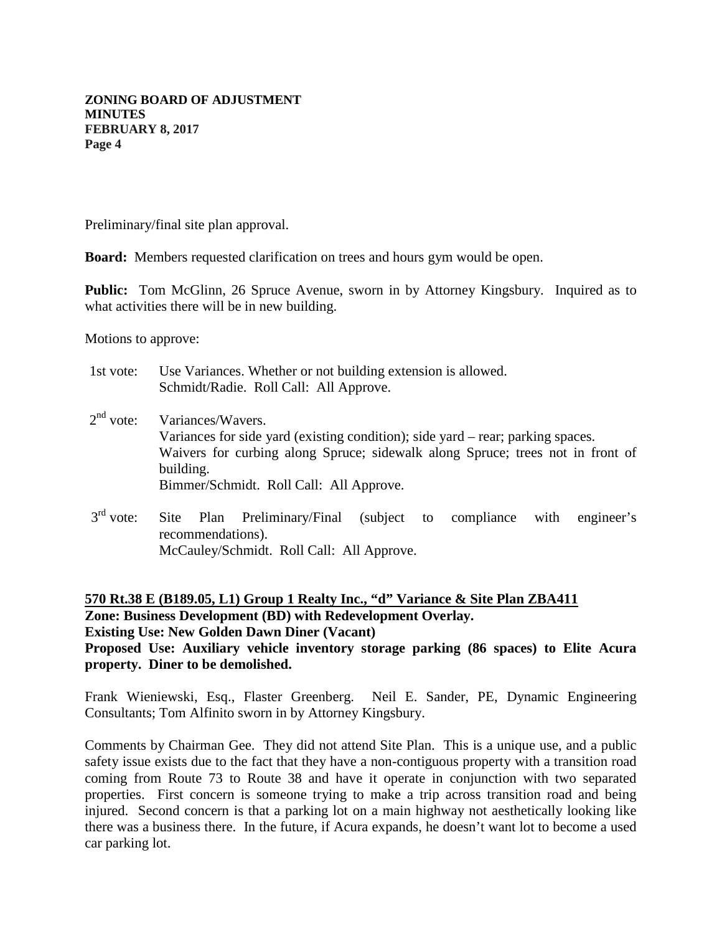Preliminary/final site plan approval.

**Board:** Members requested clarification on trees and hours gym would be open.

**Public:** Tom McGlinn, 26 Spruce Avenue, sworn in by Attorney Kingsbury. Inquired as to what activities there will be in new building.

Motions to approve:

- 1st vote: Use Variances. Whether or not building extension is allowed. Schmidt/Radie. Roll Call: All Approve.
- $2<sup>nd</sup>$  vote: Variances for side yard (existing condition); side yard – rear; parking spaces. Variances/Wavers. Waivers for curbing along Spruce; sidewalk along Spruce; trees not in front of building. Bimmer/Schmidt. Roll Call: All Approve.
- $3<sup>rd</sup>$  vote: McCauley/Schmidt. Roll Call: All Approve. Site Plan Preliminary/Final (subject to compliance with engineer's recommendations).

**Zone: Business Development (BD) with Redevelopment Overlay. 570 Rt.38 E (B189.05, L1) Group 1 Realty Inc., "d" Variance & Site Plan ZBA411 Existing Use: New Golden Dawn Diner (Vacant) Proposed Use: Auxiliary vehicle inventory storage parking (86 spaces) to Elite Acura property. Diner to be demolished.**

Frank Wieniewski, Esq., Flaster Greenberg. Neil E. Sander, PE, Dynamic Engineering Consultants; Tom Alfinito sworn in by Attorney Kingsbury.

Comments by Chairman Gee. They did not attend Site Plan. This is a unique use, and a public safety issue exists due to the fact that they have a non-contiguous property with a transition road coming from Route 73 to Route 38 and have it operate in conjunction with two separated properties. First concern is someone trying to make a trip across transition road and being injured. Second concern is that a parking lot on a main highway not aesthetically looking like there was a business there. In the future, if Acura expands, he doesn't want lot to become a used car parking lot.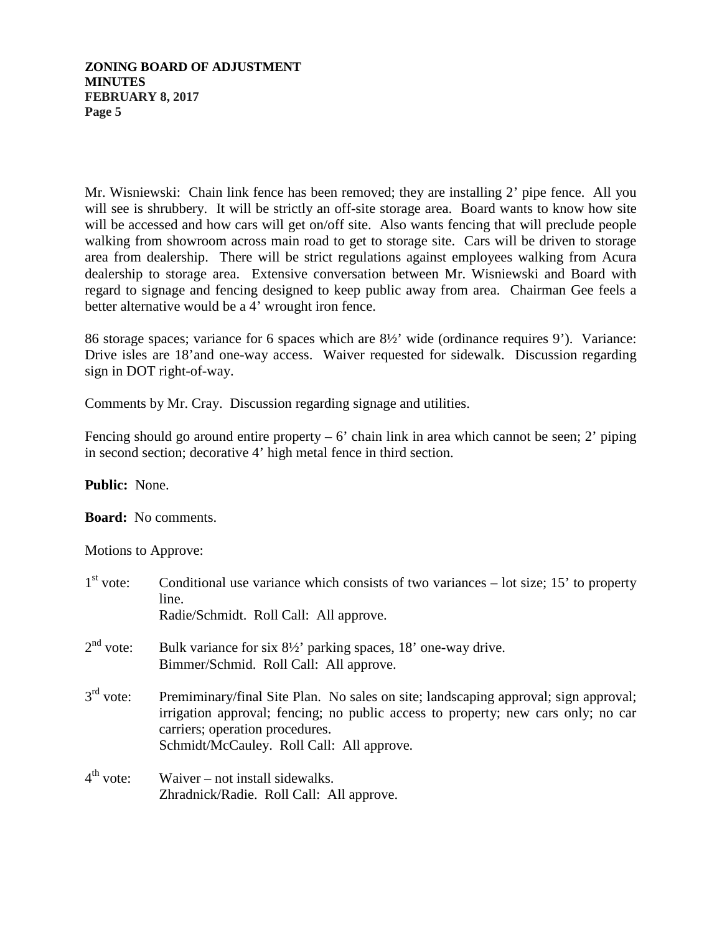Mr. Wisniewski: Chain link fence has been removed; they are installing 2' pipe fence. All you will see is shrubbery. It will be strictly an off-site storage area. Board wants to know how site will be accessed and how cars will get on/off site. Also wants fencing that will preclude people walking from showroom across main road to get to storage site. Cars will be driven to storage area from dealership. There will be strict regulations against employees walking from Acura dealership to storage area. Extensive conversation between Mr. Wisniewski and Board with regard to signage and fencing designed to keep public away from area. Chairman Gee feels a better alternative would be a 4' wrought iron fence.

86 storage spaces; variance for 6 spaces which are 8½' wide (ordinance requires 9'). Variance: Drive isles are 18'and one-way access. Waiver requested for sidewalk. Discussion regarding sign in DOT right-of-way.

Comments by Mr. Cray. Discussion regarding signage and utilities.

Fencing should go around entire property  $-6'$  chain link in area which cannot be seen; 2' piping in second section; decorative 4' high metal fence in third section.

#### **Public:** None.

**Board:** No comments.

Motions to Approve:

| $1st$ vote: | Conditional use variance which consists of two variances $-$ lot size; 15' to property<br>line.<br>Radie/Schmidt. Roll Call: All approve.                                                                                                                |
|-------------|----------------------------------------------------------------------------------------------------------------------------------------------------------------------------------------------------------------------------------------------------------|
| $2nd$ vote: | Bulk variance for six 8½ parking spaces, 18' one-way drive.<br>Bimmer/Schmid. Roll Call: All approve.                                                                                                                                                    |
| $3rd$ vote: | Premiminary/final Site Plan. No sales on site; landscaping approval; sign approval;<br>irrigation approval; fencing; no public access to property; new cars only; no car<br>carriers; operation procedures.<br>Schmidt/McCauley. Roll Call: All approve. |
| $4th$ vote: | Waiver – not install sidewalks.<br>Zhradnick/Radie. Roll Call: All approve.                                                                                                                                                                              |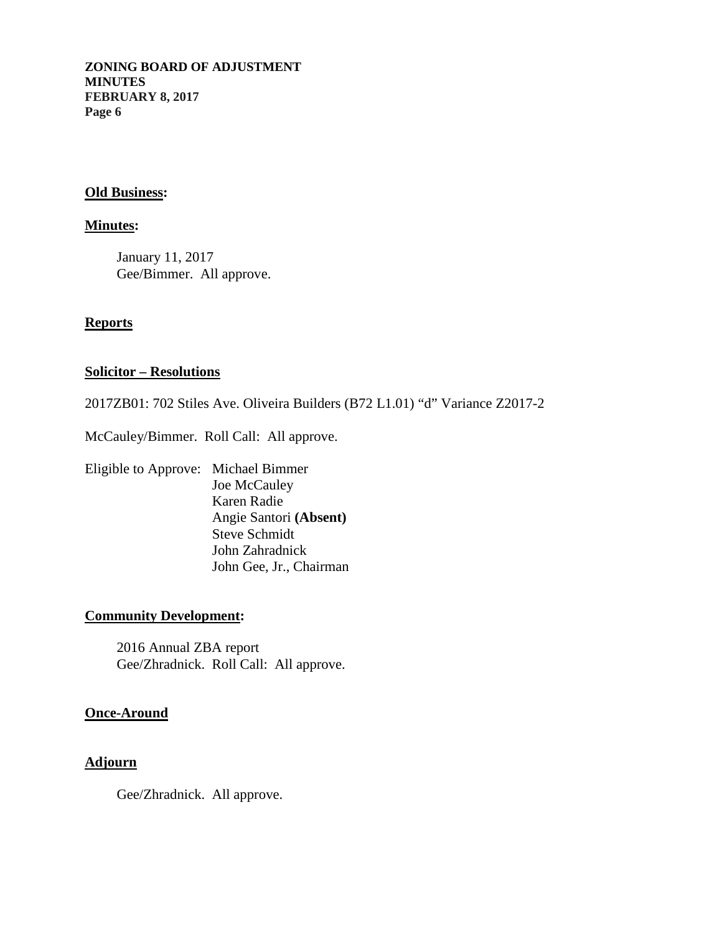#### **Old Business:**

#### **Minutes:**

January 11, 2017 Gee/Bimmer. All approve.

#### **Reports**

#### **Solicitor – Resolutions**

2017ZB01: 702 Stiles Ave. Oliveira Builders (B72 L1.01) "d" Variance Z2017-2

McCauley/Bimmer. Roll Call: All approve.

Eligible to Approve: Michael Bimmer Joe McCauley Karen Radie Angie Santori **(Absent)** Steve Schmidt John Zahradnick John Gee, Jr., Chairman

#### **Community Development:**

2016 Annual ZBA report Gee/Zhradnick. Roll Call: All approve.

### **Once-Around**

### **Adjourn**

Gee/Zhradnick. All approve.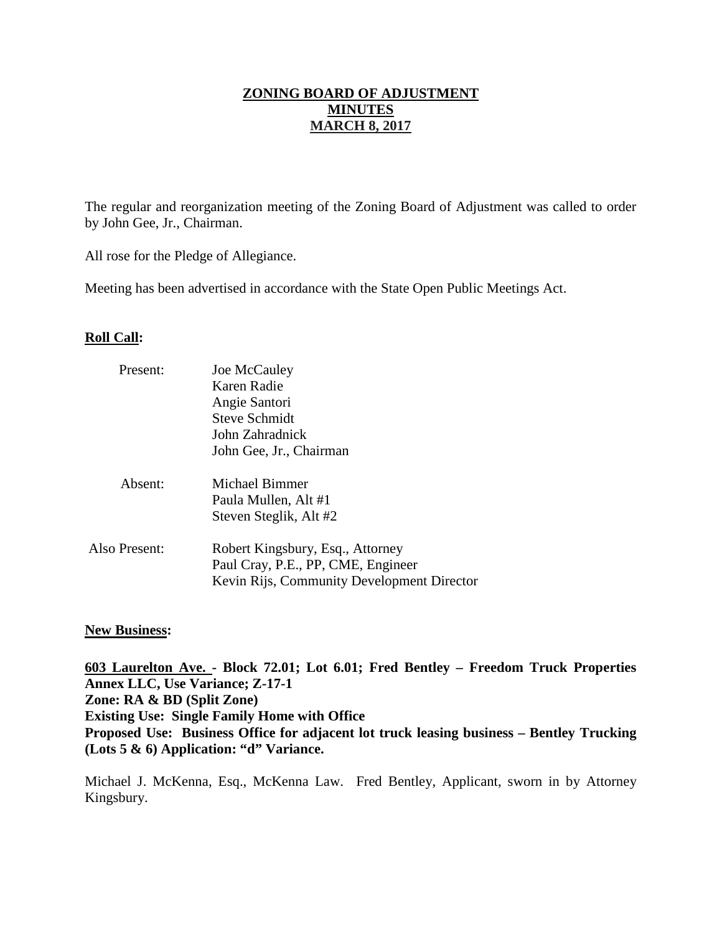### **ZONING BOARD OF ADJUSTMENT MINUTES MARCH 8, 2017**

The regular and reorganization meeting of the Zoning Board of Adjustment was called to order by John Gee, Jr., Chairman.

All rose for the Pledge of Allegiance.

Meeting has been advertised in accordance with the State Open Public Meetings Act.

### **Roll Call:**

| Present:      | Joe McCauley                               |
|---------------|--------------------------------------------|
|               | Karen Radie                                |
|               | Angie Santori                              |
|               | Steve Schmidt                              |
|               | John Zahradnick                            |
|               | John Gee, Jr., Chairman                    |
| Absent:       | Michael Bimmer                             |
|               | Paula Mullen, Alt #1                       |
|               | Steven Steglik, Alt #2                     |
| Also Present: | Robert Kingsbury, Esq., Attorney           |
|               | Paul Cray, P.E., PP, CME, Engineer         |
|               | Kevin Rijs, Community Development Director |

#### **New Business:**

**603 Laurelton Ave. - Block 72.01; Lot 6.01; Fred Bentley – Freedom Truck Properties Zone: RA & BD (Split Zone) Annex LLC, Use Variance; Z-17-1 Existing Use: Single Family Home with Office Proposed Use: Business Office for adjacent lot truck leasing business – Bentley Trucking (Lots 5 & 6) Application: "d" Variance.** 

Michael J. McKenna, Esq., McKenna Law. Fred Bentley, Applicant, sworn in by Attorney Kingsbury.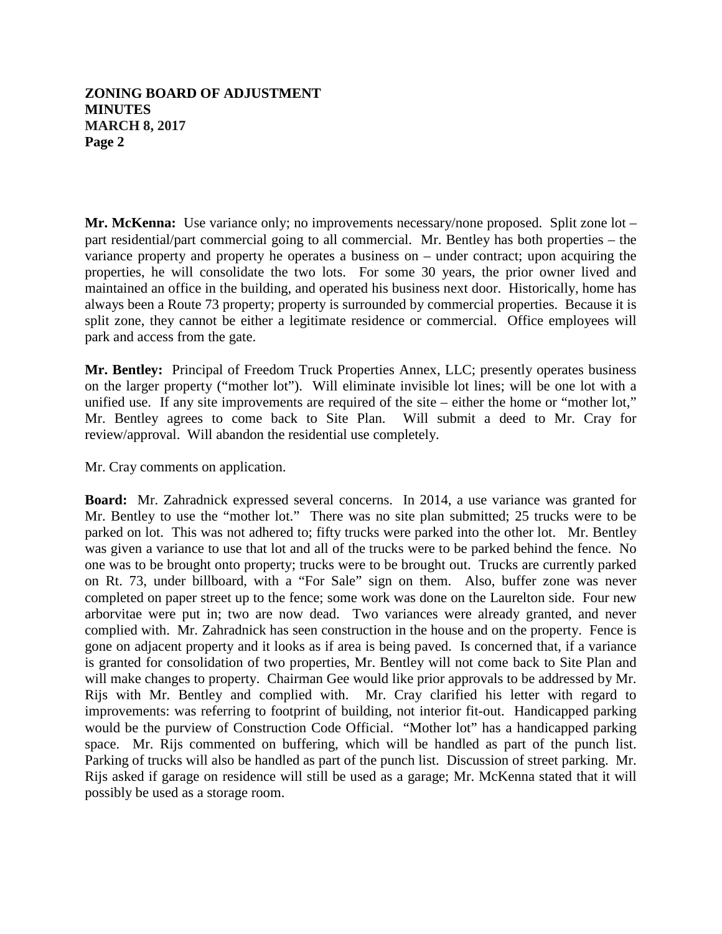**Mr. McKenna:** Use variance only; no improvements necessary/none proposed. Split zone lot – part residential/part commercial going to all commercial. Mr. Bentley has both properties – the variance property and property he operates a business on – under contract; upon acquiring the properties, he will consolidate the two lots. For some 30 years, the prior owner lived and maintained an office in the building, and operated his business next door. Historically, home has always been a Route 73 property; property is surrounded by commercial properties. Because it is split zone, they cannot be either a legitimate residence or commercial. Office employees will park and access from the gate.

**Mr. Bentley:** Principal of Freedom Truck Properties Annex, LLC; presently operates business on the larger property ("mother lot"). Will eliminate invisible lot lines; will be one lot with a unified use. If any site improvements are required of the site – either the home or "mother lot," Mr. Bentley agrees to come back to Site Plan. Will submit a deed to Mr. Cray for review/approval. Will abandon the residential use completely.

Mr. Cray comments on application.

**Board:** Mr. Zahradnick expressed several concerns. In 2014, a use variance was granted for Mr. Bentley to use the "mother lot." There was no site plan submitted; 25 trucks were to be parked on lot. This was not adhered to; fifty trucks were parked into the other lot. Mr. Bentley was given a variance to use that lot and all of the trucks were to be parked behind the fence. No one was to be brought onto property; trucks were to be brought out. Trucks are currently parked on Rt. 73, under billboard, with a "For Sale" sign on them. Also, buffer zone was never completed on paper street up to the fence; some work was done on the Laurelton side. Four new arborvitae were put in; two are now dead. Two variances were already granted, and never complied with. Mr. Zahradnick has seen construction in the house and on the property. Fence is gone on adjacent property and it looks as if area is being paved. Is concerned that, if a variance is granted for consolidation of two properties, Mr. Bentley will not come back to Site Plan and will make changes to property. Chairman Gee would like prior approvals to be addressed by Mr. Rijs with Mr. Bentley and complied with. Mr. Cray clarified his letter with regard to improvements: was referring to footprint of building, not interior fit-out. Handicapped parking would be the purview of Construction Code Official. "Mother lot" has a handicapped parking space. Mr. Rijs commented on buffering, which will be handled as part of the punch list. Parking of trucks will also be handled as part of the punch list. Discussion of street parking. Mr. Rijs asked if garage on residence will still be used as a garage; Mr. McKenna stated that it will possibly be used as a storage room.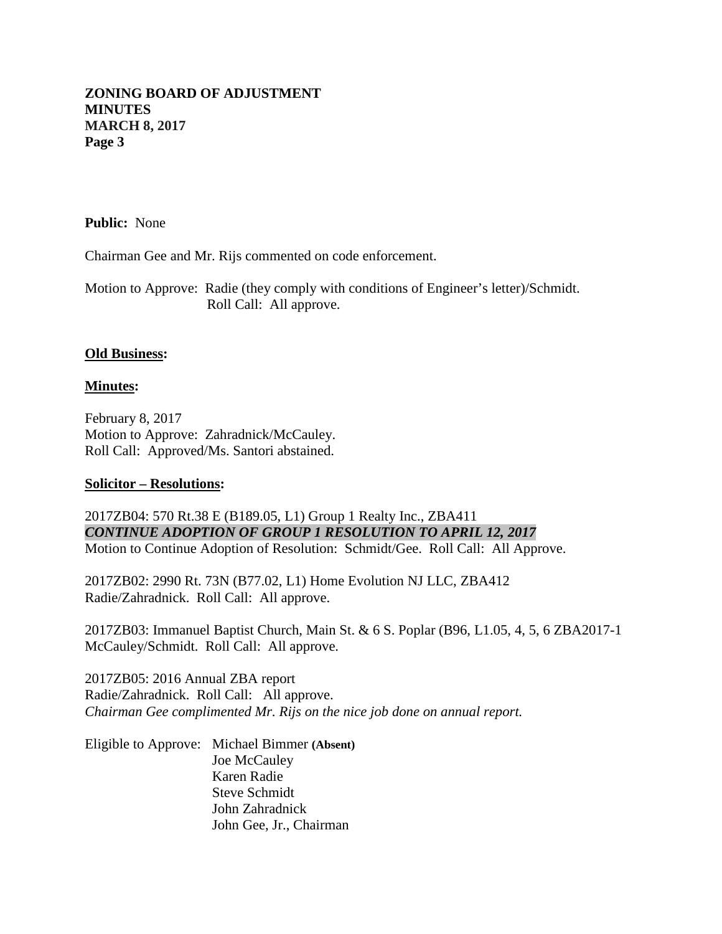**Public:** None

Chairman Gee and Mr. Rijs commented on code enforcement.

Motion to Approve: Radie (they comply with conditions of Engineer's letter)/Schmidt. Roll Call: All approve.

#### **Old Business:**

#### **Minutes:**

February 8, 2017 Motion to Approve: Zahradnick/McCauley. Roll Call: Approved/Ms. Santori abstained.

#### **Solicitor – Resolutions:**

2017ZB04: 570 Rt.38 E (B189.05, L1) Group 1 Realty Inc., ZBA411 *CONTINUE ADOPTION OF GROUP 1 RESOLUTION TO APRIL 12, 2017* Motion to Continue Adoption of Resolution: Schmidt/Gee. Roll Call: All Approve.

2017ZB02: 2990 Rt. 73N (B77.02, L1) Home Evolution NJ LLC, ZBA412 Radie/Zahradnick. Roll Call: All approve.

2017ZB03: Immanuel Baptist Church, Main St. & 6 S. Poplar (B96, L1.05, 4, 5, 6 ZBA2017-1 McCauley/Schmidt. Roll Call: All approve.

2017ZB05: 2016 Annual ZBA report Radie/Zahradnick. Roll Call: All approve. *Chairman Gee complimented Mr. Rijs on the nice job done on annual report.*

Eligible to Approve: Michael Bimmer **(Absent)** Joe McCauley Karen Radie Steve Schmidt John Zahradnick John Gee, Jr., Chairman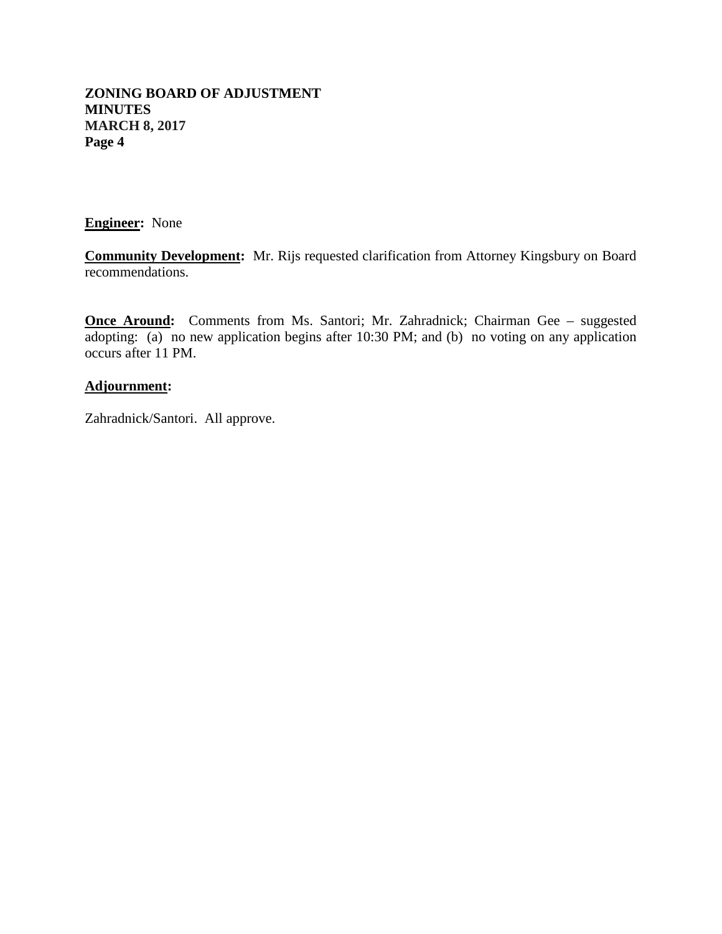### **Engineer:** None

**Community Development:** Mr. Rijs requested clarification from Attorney Kingsbury on Board recommendations.

**Once Around:** Comments from Ms. Santori; Mr. Zahradnick; Chairman Gee – suggested adopting: (a) no new application begins after 10:30 PM; and (b) no voting on any application occurs after 11 PM.

#### **Adjournment:**

Zahradnick/Santori. All approve.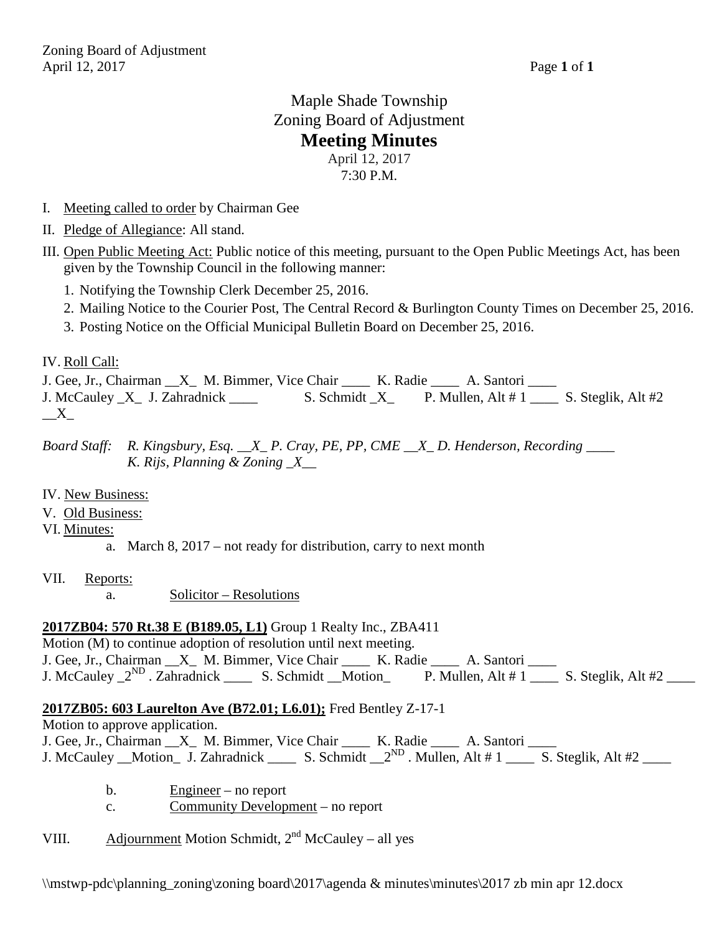# Maple Shade Township Zoning Board of Adjustment **Meeting Minutes** April 12, 2017

# 7:30 P.M.

- I. Meeting called to order by Chairman Gee
- II. Pledge of Allegiance: All stand.
- III. Open Public Meeting Act: Public notice of this meeting, pursuant to the Open Public Meetings Act, has been given by the Township Council in the following manner:
	- 1. Notifying the Township Clerk December 25, 2016.
	- 2. Mailing Notice to the Courier Post, The Central Record & Burlington County Times on December 25, 2016.
	- 3. Posting Notice on the Official Municipal Bulletin Board on December 25, 2016.

#### IV. Roll Call:

J. Gee, Jr., Chairman  $X$ <sub>-</sub> M. Bimmer, Vice Chair \_\_\_\_ K. Radie \_\_\_\_ A. Santori \_\_\_\_ J. McCauley X J. Zahradnick S. Schmidt X P. Mullen, Alt # 1 S. Steglik, Alt #2  $\_X$ 

*Board Staff: R. Kingsbury, Esq. \_\_X\_ P. Cray, PE, PP, CME \_\_X\_ D. Henderson, Recording \_\_\_\_ K. Rijs, Planning & Zoning \_X\_\_*

IV. New Business:

- V. Old Business:
- VI. Minutes:
	- a. March 8, 2017 not ready for distribution, carry to next month
- VII. Reports:

a. Solicitor – Resolutions

### **2017ZB04: 570 Rt.38 E (B189.05, L1)** Group 1 Realty Inc., ZBA411

Motion (M) to continue adoption of resolution until next meeting. J. Gee, Jr., Chairman  $X$ <sup>M.</sup> Bimmer, Vice Chair M. Radie A. Santori M. Radie J. McCauley  $2^{ND}$ . Zahradnick \_\_\_\_\_\_ S. Schmidt \_\_Motion\_\_\_\_\_\_\_\_ P. Mullen, Alt # 1 \_\_\_\_\_\_ S. Steglik, Alt #2 \_\_\_\_\_

### **2017ZB05: 603 Laurelton Ave (B72.01; L6.01);** Fred Bentley Z-17-1

Motion to approve application.

J. Gee, Jr., Chairman \_\_X\_ M. Bimmer, Vice Chair \_\_\_\_ K. Radie \_\_\_\_ A. Santori \_\_\_\_ J. McCauley \_\_Motion\_ J. Zahradnick \_\_\_\_\_ S. Schmidt  $2^{ND}$ . Mullen, Alt # 1 \_\_\_\_\_ S. Steglik, Alt #2 \_\_\_\_

- b. Engineer no report
- c. Community Development – no report

VIII. Adjournment Motion Schmidt,  $2<sup>nd</sup>$  McCauley – all yes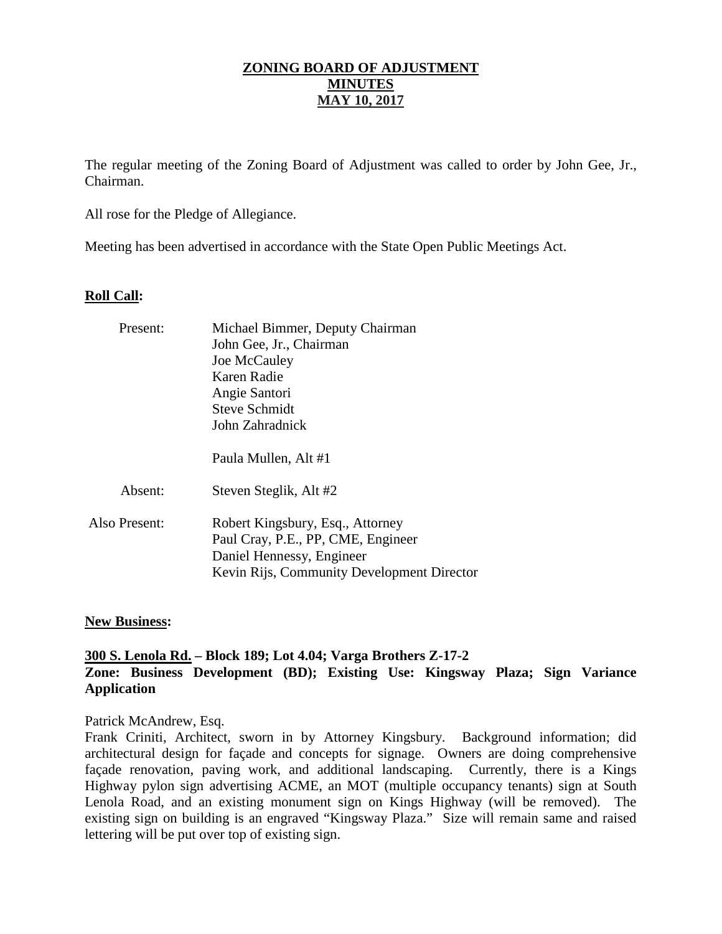## **ZONING BOARD OF ADJUSTMENT MINUTES MAY 10, 2017**

The regular meeting of the Zoning Board of Adjustment was called to order by John Gee, Jr., Chairman.

All rose for the Pledge of Allegiance.

Meeting has been advertised in accordance with the State Open Public Meetings Act.

### **Roll Call:**

| Present:      | Michael Bimmer, Deputy Chairman                                                                     |
|---------------|-----------------------------------------------------------------------------------------------------|
|               | John Gee, Jr., Chairman                                                                             |
|               | Joe McCauley                                                                                        |
|               | Karen Radie                                                                                         |
|               | Angie Santori                                                                                       |
|               | <b>Steve Schmidt</b>                                                                                |
|               | John Zahradnick                                                                                     |
|               | Paula Mullen, Alt #1                                                                                |
| Absent:       | Steven Steglik, Alt #2                                                                              |
| Also Present: | Robert Kingsbury, Esq., Attorney<br>Paul Cray, P.E., PP, CME, Engineer<br>Daniel Hennessy, Engineer |
|               | Kevin Rijs, Community Development Director                                                          |
|               |                                                                                                     |

**New Business:**

### **300 S. Lenola Rd. – Block 189; Lot 4.04; Varga Brothers Z-17-2 Zone: Business Development (BD); Existing Use: Kingsway Plaza; Sign Variance Application**

Patrick McAndrew, Esq.

Frank Criniti, Architect, sworn in by Attorney Kingsbury. Background information; did architectural design for façade and concepts for signage. Owners are doing comprehensive façade renovation, paving work, and additional landscaping. Currently, there is a Kings Highway pylon sign advertising ACME, an MOT (multiple occupancy tenants) sign at South Lenola Road, and an existing monument sign on Kings Highway (will be removed). The existing sign on building is an engraved "Kingsway Plaza." Size will remain same and raised lettering will be put over top of existing sign.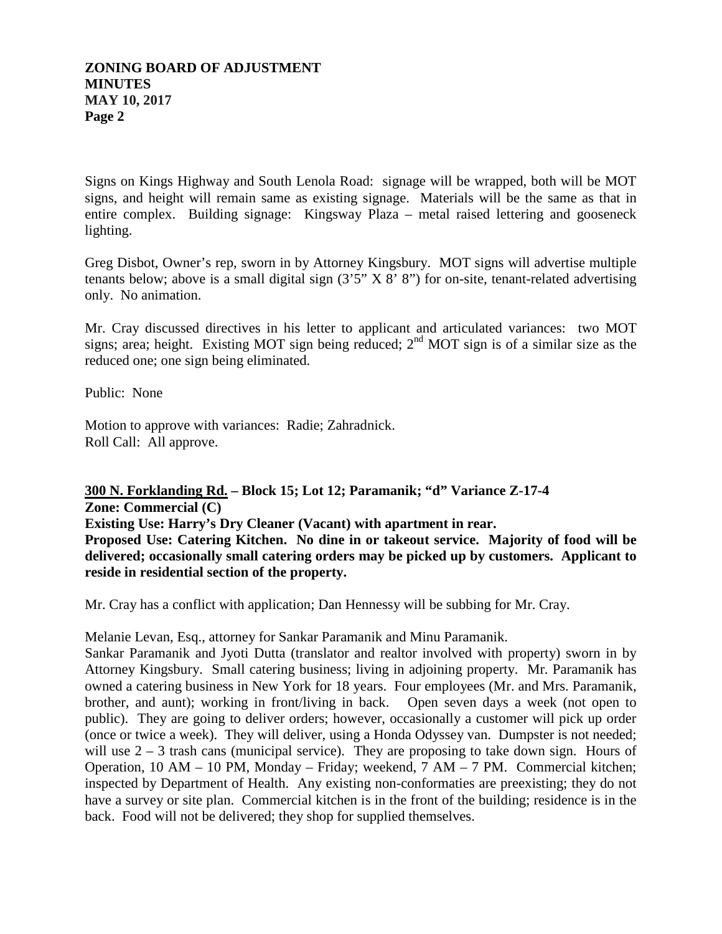Signs on Kings Highway and South Lenola Road: signage will be wrapped, both will be MOT signs, and height will remain same as existing signage. Materials will be the same as that in entire complex. Building signage: Kingsway Plaza – metal raised lettering and gooseneck lighting.

Greg Disbot, Owner's rep, sworn in by Attorney Kingsbury. MOT signs will advertise multiple tenants below; above is a small digital sign (3'5" X 8' 8") for on-site, tenant-related advertising only. No animation.

Mr. Cray discussed directives in his letter to applicant and articulated variances: two MOT signs; area; height. Existing MOT sign being reduced;  $2<sup>nd</sup>$  MOT sign is of a similar size as the reduced one; one sign being eliminated.

Public: None

Motion to approve with variances: Radie; Zahradnick. Roll Call: All approve.

**300 N. Forklanding Rd. – Block 15; Lot 12; Paramanik; "d" Variance Z-17-4 Zone: Commercial (C) Existing Use: Harry's Dry Cleaner (Vacant) with apartment in rear. Proposed Use: Catering Kitchen. No dine in or takeout service. Majority of food will be delivered; occasionally small catering orders may be picked up by customers. Applicant to reside in residential section of the property.**

Mr. Cray has a conflict with application; Dan Hennessy will be subbing for Mr. Cray.

Melanie Levan, Esq., attorney for Sankar Paramanik and Minu Paramanik.

Sankar Paramanik and Jyoti Dutta (translator and realtor involved with property) sworn in by Attorney Kingsbury. Small catering business; living in adjoining property. Mr. Paramanik has owned a catering business in New York for 18 years. Four employees (Mr. and Mrs. Paramanik, brother, and aunt); working in front/living in back. Open seven days a week (not open to public). They are going to deliver orders; however, occasionally a customer will pick up order (once or twice a week). They will deliver, using a Honda Odyssey van. Dumpster is not needed; will use  $2 - 3$  trash cans (municipal service). They are proposing to take down sign. Hours of Operation, 10 AM – 10 PM, Monday – Friday; weekend, 7 AM – 7 PM. Commercial kitchen; inspected by Department of Health. Any existing non-conformaties are preexisting; they do not have a survey or site plan. Commercial kitchen is in the front of the building; residence is in the back. Food will not be delivered; they shop for supplied themselves.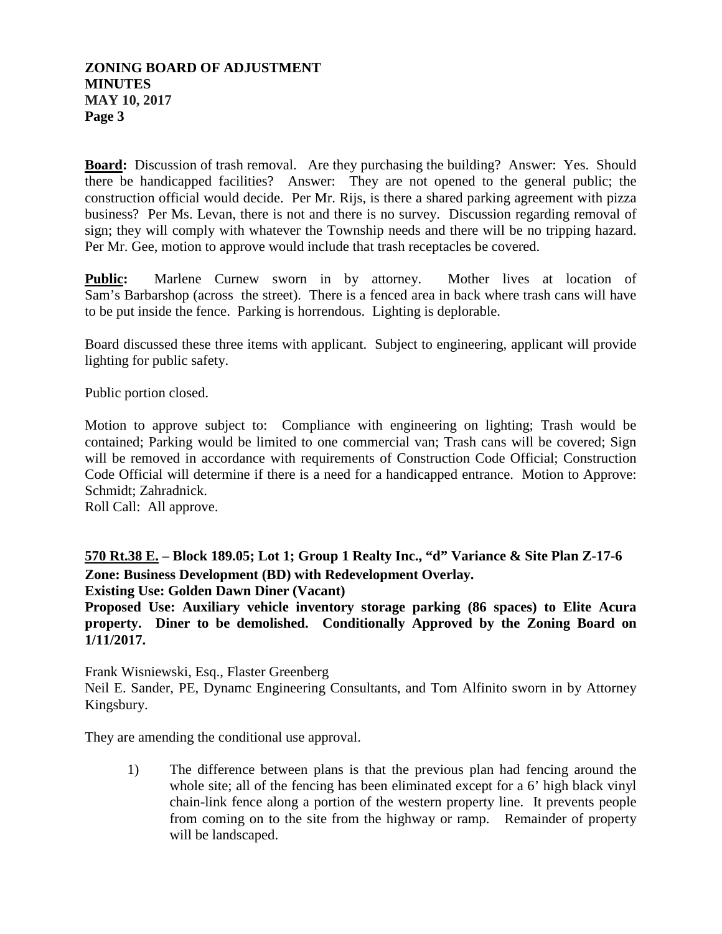**Board:** Discussion of trash removal. Are they purchasing the building? Answer: Yes. Should there be handicapped facilities? Answer: They are not opened to the general public; the construction official would decide. Per Mr. Rijs, is there a shared parking agreement with pizza business? Per Ms. Levan, there is not and there is no survey. Discussion regarding removal of sign; they will comply with whatever the Township needs and there will be no tripping hazard. Per Mr. Gee, motion to approve would include that trash receptacles be covered.

**Public:** Marlene Curnew sworn in by attorney. Mother lives at location of Sam's Barbarshop (across the street). There is a fenced area in back where trash cans will have to be put inside the fence. Parking is horrendous. Lighting is deplorable.

Board discussed these three items with applicant. Subject to engineering, applicant will provide lighting for public safety.

Public portion closed.

Motion to approve subject to: Compliance with engineering on lighting; Trash would be contained; Parking would be limited to one commercial van; Trash cans will be covered; Sign will be removed in accordance with requirements of Construction Code Official; Construction Code Official will determine if there is a need for a handicapped entrance. Motion to Approve: Schmidt; Zahradnick.

Roll Call: All approve.

**570 Rt.38 E. – Block 189.05; Lot 1; Group 1 Realty Inc., "d" Variance & Site Plan Z-17-6 Zone: Business Development (BD) with Redevelopment Overlay. Existing Use: Golden Dawn Diner (Vacant)**

**Proposed Use: Auxiliary vehicle inventory storage parking (86 spaces) to Elite Acura property. Diner to be demolished. Conditionally Approved by the Zoning Board on 1/11/2017.**

Frank Wisniewski, Esq., Flaster Greenberg

Neil E. Sander, PE, Dynamc Engineering Consultants, and Tom Alfinito sworn in by Attorney Kingsbury.

They are amending the conditional use approval.

1) The difference between plans is that the previous plan had fencing around the whole site; all of the fencing has been eliminated except for a 6' high black vinyl chain-link fence along a portion of the western property line. It prevents people from coming on to the site from the highway or ramp. Remainder of property will be landscaped.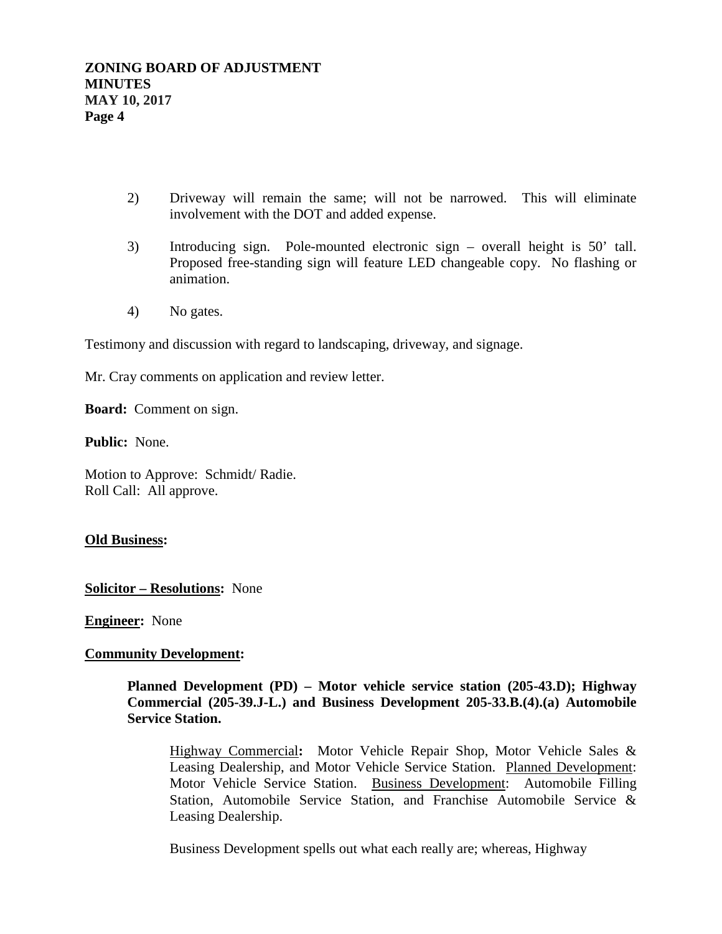- 2) Driveway will remain the same; will not be narrowed. This will eliminate involvement with the DOT and added expense.
- 3) Introducing sign. Pole-mounted electronic sign overall height is 50' tall. Proposed free-standing sign will feature LED changeable copy. No flashing or animation.
- 4) No gates.

Testimony and discussion with regard to landscaping, driveway, and signage.

Mr. Cray comments on application and review letter.

**Board:** Comment on sign.

**Public:** None.

Motion to Approve: Schmidt/ Radie. Roll Call: All approve.

#### **Old Business:**

**Solicitor – Resolutions:** None

**Engineer:** None

#### **Community Development:**

**Planned Development (PD) – Motor vehicle service station (205-43.D); Highway Commercial (205-39.J-L.) and Business Development 205-33.B.(4).(a) Automobile Service Station.**

Highway Commercial**:** Motor Vehicle Repair Shop, Motor Vehicle Sales & Leasing Dealership, and Motor Vehicle Service Station. Planned Development: Motor Vehicle Service Station. Business Development: Automobile Filling Station, Automobile Service Station, and Franchise Automobile Service & Leasing Dealership.

Business Development spells out what each really are; whereas, Highway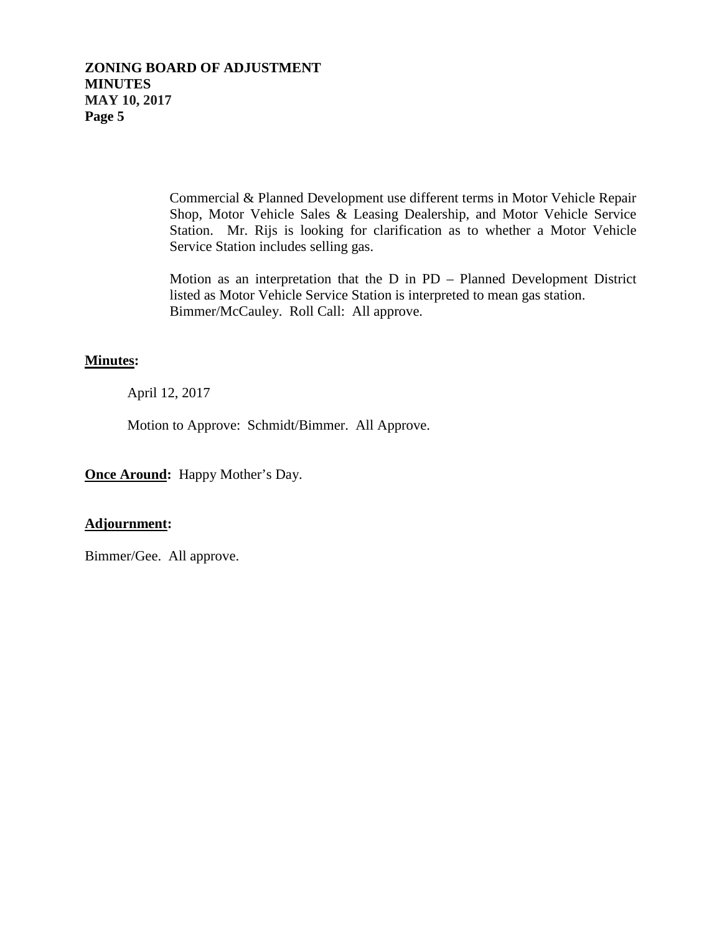Commercial & Planned Development use different terms in Motor Vehicle Repair Shop, Motor Vehicle Sales & Leasing Dealership, and Motor Vehicle Service Station. Mr. Rijs is looking for clarification as to whether a Motor Vehicle Service Station includes selling gas.

Motion as an interpretation that the D in PD – Planned Development District listed as Motor Vehicle Service Station is interpreted to mean gas station. Bimmer/McCauley. Roll Call: All approve.

#### **Minutes:**

April 12, 2017

Motion to Approve: Schmidt/Bimmer. All Approve.

**Once Around:** Happy Mother's Day.

#### **Adjournment:**

Bimmer/Gee. All approve.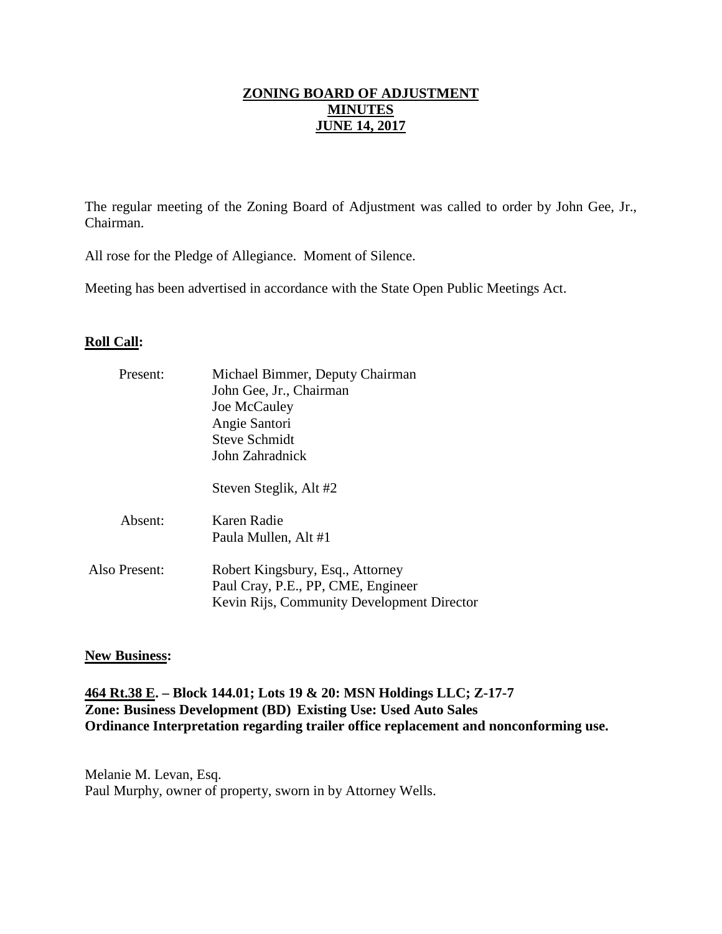### **ZONING BOARD OF ADJUSTMENT MINUTES JUNE 14, 2017**

The regular meeting of the Zoning Board of Adjustment was called to order by John Gee, Jr., Chairman.

All rose for the Pledge of Allegiance. Moment of Silence.

Meeting has been advertised in accordance with the State Open Public Meetings Act.

### **Roll Call:**

| Present:      | Michael Bimmer, Deputy Chairman<br>John Gee, Jr., Chairman<br>Joe McCauley<br>Angie Santori<br><b>Steve Schmidt</b><br>John Zahradnick<br>Steven Steglik, Alt #2 |
|---------------|------------------------------------------------------------------------------------------------------------------------------------------------------------------|
| Absent:       | Karen Radie<br>Paula Mullen, Alt #1                                                                                                                              |
| Also Present: | Robert Kingsbury, Esq., Attorney<br>Paul Cray, P.E., PP, CME, Engineer<br>Kevin Rijs, Community Development Director                                             |

#### **New Business:**

**464 Rt.38 E . – Block 144.01; Lots 19 & 20: MSN Holdings LLC; Z-17-7 Zone: Business Development (BD) Existing Use: Used Auto Sales Ordinance Interpretation regarding trailer office replacement and nonconforming use.**

Melanie M. Levan, Esq. Paul Murphy, owner of property, sworn in by Attorney Wells.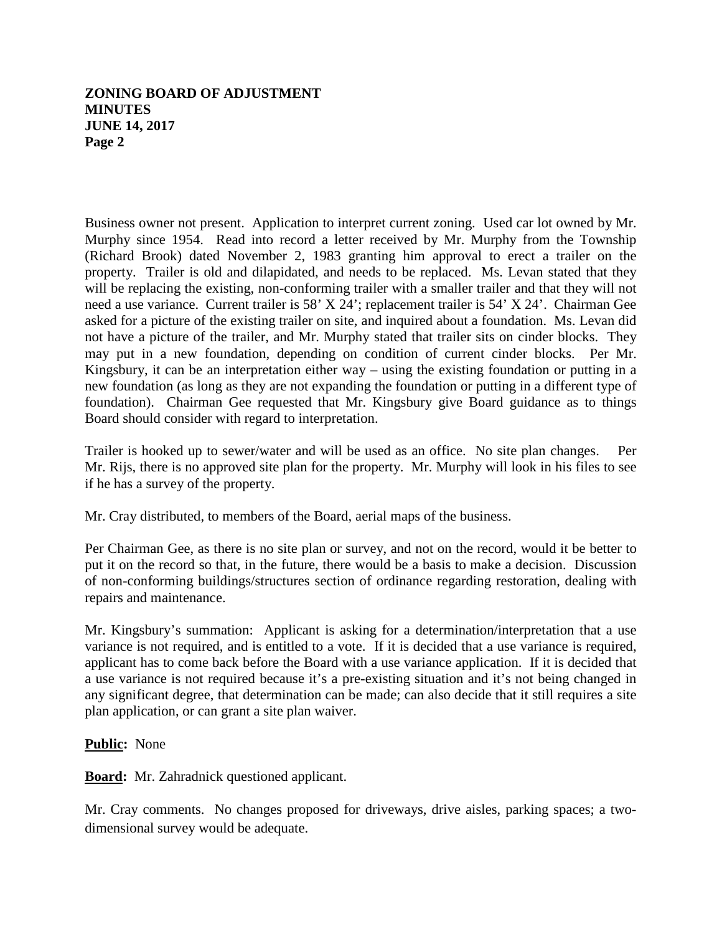### **ZONING BOARD OF ADJUSTMENT MINUTES JUNE 14, 2017 Page 2**

Business owner not present. Application to interpret current zoning. Used car lot owned by Mr. Murphy since 1954. Read into record a letter received by Mr. Murphy from the Township (Richard Brook) dated November 2, 1983 granting him approval to erect a trailer on the property. Trailer is old and dilapidated, and needs to be replaced. Ms. Levan stated that they will be replacing the existing, non-conforming trailer with a smaller trailer and that they will not need a use variance. Current trailer is 58' X 24'; replacement trailer is 54' X 24'. Chairman Gee asked for a picture of the existing trailer on site, and inquired about a foundation. Ms. Levan did not have a picture of the trailer, and Mr. Murphy stated that trailer sits on cinder blocks. They may put in a new foundation, depending on condition of current cinder blocks. Per Mr. Kingsbury, it can be an interpretation either way – using the existing foundation or putting in a new foundation (as long as they are not expanding the foundation or putting in a different type of foundation). Chairman Gee requested that Mr. Kingsbury give Board guidance as to things Board should consider with regard to interpretation.

Trailer is hooked up to sewer/water and will be used as an office. No site plan changes. Per Mr. Rijs, there is no approved site plan for the property. Mr. Murphy will look in his files to see if he has a survey of the property.

Mr. Cray distributed, to members of the Board, aerial maps of the business.

Per Chairman Gee, as there is no site plan or survey, and not on the record, would it be better to put it on the record so that, in the future, there would be a basis to make a decision. Discussion of non-conforming buildings/structures section of ordinance regarding restoration, dealing with repairs and maintenance.

Mr. Kingsbury's summation: Applicant is asking for a determination/interpretation that a use variance is not required, and is entitled to a vote. If it is decided that a use variance is required, applicant has to come back before the Board with a use variance application. If it is decided that a use variance is not required because it's a pre-existing situation and it's not being changed in any significant degree, that determination can be made; can also decide that it still requires a site plan application, or can grant a site plan waiver.

### **Public:** None

**Board:** Mr. Zahradnick questioned applicant.

Mr. Cray comments. No changes proposed for driveways, drive aisles, parking spaces; a twodimensional survey would be adequate.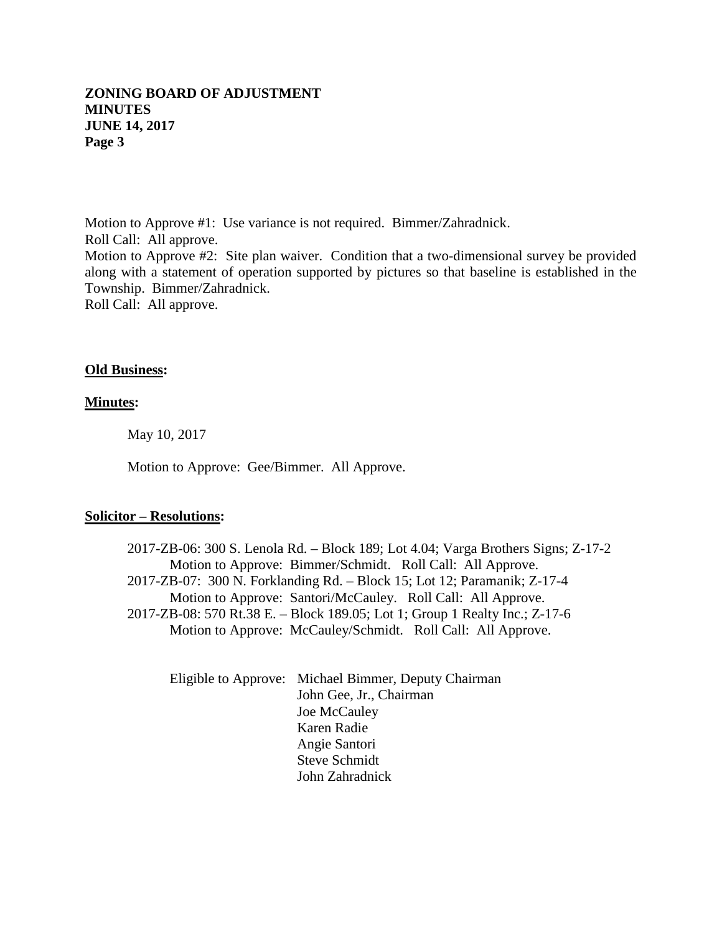### **ZONING BOARD OF ADJUSTMENT MINUTES JUNE 14, 2017 Page 3**

Motion to Approve #1: Use variance is not required. Bimmer/Zahradnick. Roll Call: All approve. Motion to Approve #2: Site plan waiver. Condition that a two-dimensional survey be provided along with a statement of operation supported by pictures so that baseline is established in the Township. Bimmer/Zahradnick. Roll Call: All approve.

#### **Old Business:**

#### **Minutes:**

May 10, 2017

Motion to Approve: Gee/Bimmer. All Approve.

#### **Solicitor – Resolutions:**

2017-ZB-06: 300 S. Lenola Rd. – Block 189; Lot 4.04; Varga Brothers Signs; Z-17-2 Motion to Approve: Bimmer/Schmidt. Roll Call: All Approve. 2017-ZB-07: 300 N. Forklanding Rd. – Block 15; Lot 12; Paramanik; Z-17-4 Motion to Approve: Santori/McCauley. Roll Call: All Approve. 2017-ZB-08: 570 Rt.38 E. – Block 189.05; Lot 1; Group 1 Realty Inc.; Z-17-6 Motion to Approve: McCauley/Schmidt. Roll Call: All Approve.

Eligible to Approve: Michael Bimmer, Deputy Chairman John Gee, Jr., Chairman Joe McCauley Karen Radie Angie Santori Steve Schmidt John Zahradnick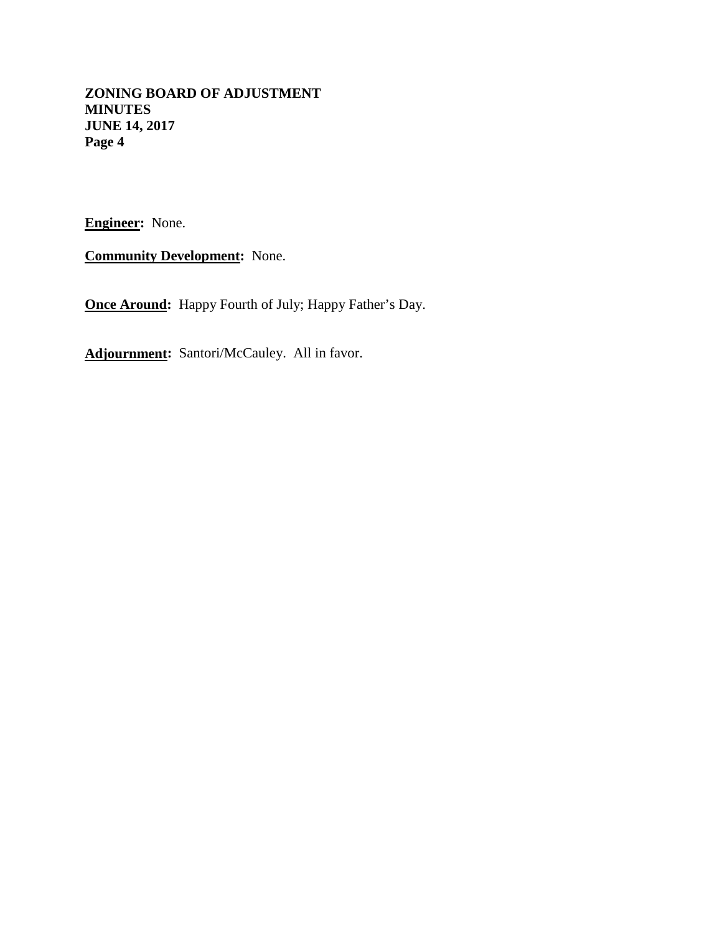**ZONING BOARD OF ADJUSTMENT MINUTES JUNE 14, 2017 Page 4**

**Engineer:** None.

**Community Development:** None.

**Once Around:** Happy Fourth of July; Happy Father's Day.

**Adjournment:** Santori/McCauley. All in favor.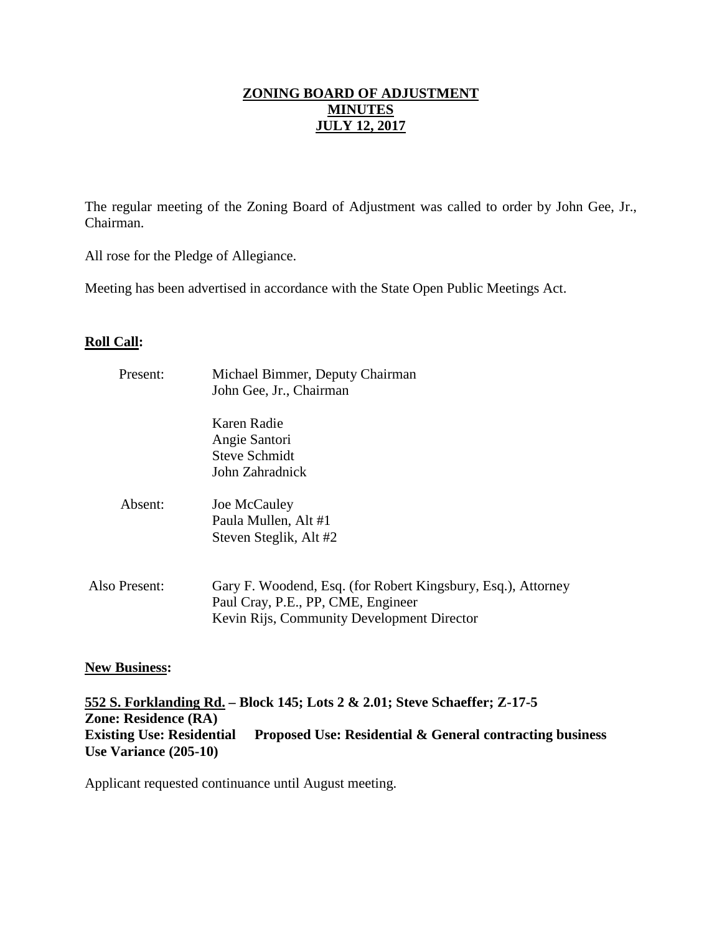## **ZONING BOARD OF ADJUSTMENT MINUTES JULY 12, 2017**

The regular meeting of the Zoning Board of Adjustment was called to order by John Gee, Jr., Chairman.

All rose for the Pledge of Allegiance.

Meeting has been advertised in accordance with the State Open Public Meetings Act.

### **Roll Call:**

| Present:      | Michael Bimmer, Deputy Chairman<br>John Gee, Jr., Chairman                                                                                       |
|---------------|--------------------------------------------------------------------------------------------------------------------------------------------------|
|               | Karen Radie<br>Angie Santori<br>Steve Schmidt<br>John Zahradnick                                                                                 |
| Absent:       | Joe McCauley<br>Paula Mullen, Alt #1<br>Steven Steglik, Alt #2                                                                                   |
| Also Present: | Gary F. Woodend, Esq. (for Robert Kingsbury, Esq.), Attorney<br>Paul Cray, P.E., PP, CME, Engineer<br>Kevin Rijs, Community Development Director |

#### **New Business:**

**552 S. Forklanding Rd. – Block 145; Lots 2 & 2.01; Steve Schaeffer; Z-17-5 Zone: Residence (RA) Proposed Use: Residential & General contracting business Use Variance (205-10)** 

Applicant requested continuance until August meeting.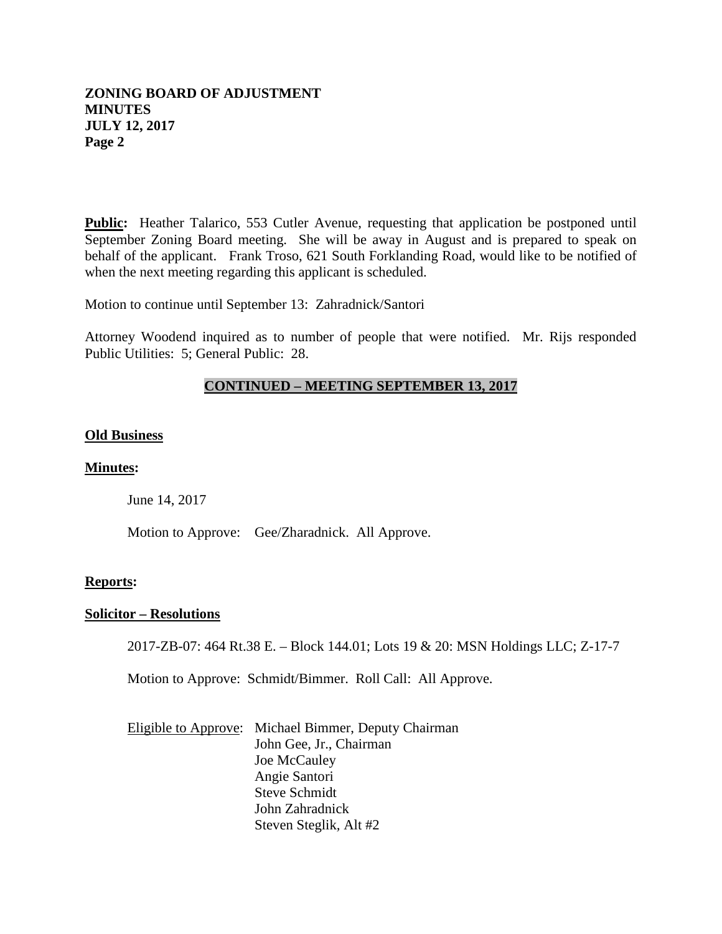### **ZONING BOARD OF ADJUSTMENT MINUTES JULY 12, 2017 Page 2**

**Public:** Heather Talarico, 553 Cutler Avenue, requesting that application be postponed until September Zoning Board meeting. She will be away in August and is prepared to speak on behalf of the applicant. Frank Troso, 621 South Forklanding Road, would like to be notified of when the next meeting regarding this applicant is scheduled.

Motion to continue until September 13: Zahradnick/Santori

Attorney Woodend inquired as to number of people that were notified. Mr. Rijs responded Public Utilities: 5; General Public: 28.

#### **CONTINUED – MEETING SEPTEMBER 13, 2017**

#### **Old Business**

#### **Minutes:**

June 14, 2017

Motion to Approve: Gee/Zharadnick. All Approve.

#### **Reports:**

#### **Solicitor – Resolutions**

2017-ZB-07: 464 Rt.38 E. – Block 144.01; Lots 19 & 20: MSN Holdings LLC; Z-17-7

Motion to Approve: Schmidt/Bimmer. Roll Call: All Approve.

Eligible to Approve: Michael Bimmer, Deputy Chairman John Gee, Jr., Chairman Joe McCauley Angie Santori Steve Schmidt John Zahradnick Steven Steglik*,* Alt #2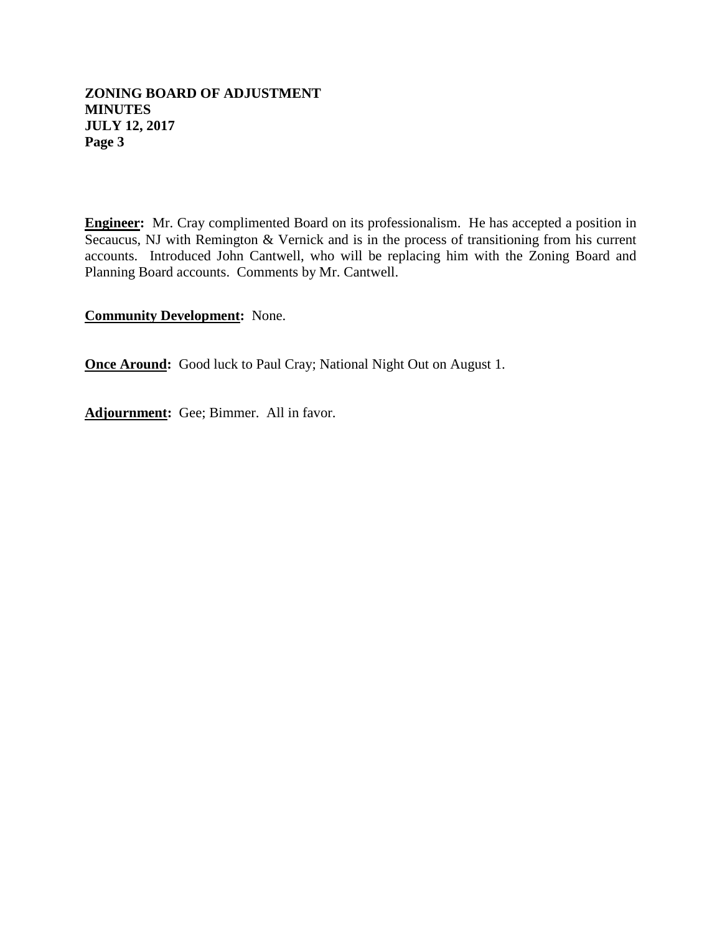### **ZONING BOARD OF ADJUSTMENT MINUTES JULY 12, 2017 Page 3**

**Engineer:** Mr. Cray complimented Board on its professionalism. He has accepted a position in Secaucus, NJ with Remington & Vernick and is in the process of transitioning from his current accounts. Introduced John Cantwell, who will be replacing him with the Zoning Board and Planning Board accounts. Comments by Mr. Cantwell.

### **Community Development:** None.

**Once Around:** Good luck to Paul Cray; National Night Out on August 1.

Adjournment: Gee; Bimmer. All in favor.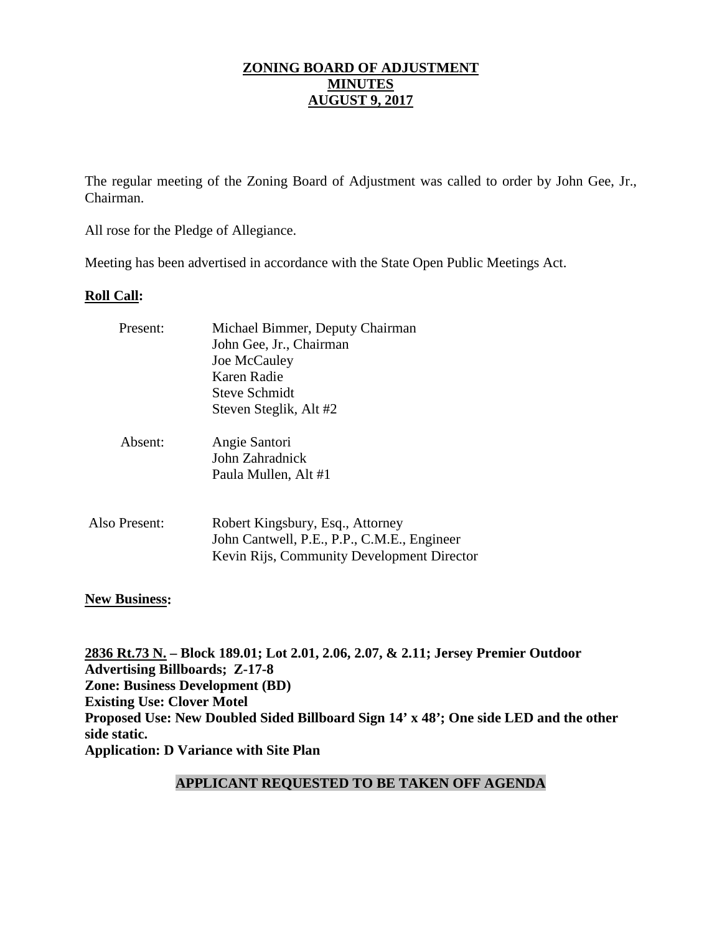## **ZONING BOARD OF ADJUSTMENT MINUTES AUGUST 9, 2017**

The regular meeting of the Zoning Board of Adjustment was called to order by John Gee, Jr., Chairman.

All rose for the Pledge of Allegiance.

Meeting has been advertised in accordance with the State Open Public Meetings Act.

### **Roll Call:**

| Present:      | Michael Bimmer, Deputy Chairman                                                                                               |
|---------------|-------------------------------------------------------------------------------------------------------------------------------|
|               | John Gee, Jr., Chairman                                                                                                       |
|               | Joe McCauley                                                                                                                  |
|               | Karen Radie                                                                                                                   |
|               | Steve Schmidt                                                                                                                 |
|               | Steven Steglik, Alt #2                                                                                                        |
| Absent:       | Angie Santori                                                                                                                 |
|               | John Zahradnick                                                                                                               |
|               | Paula Mullen, Alt #1                                                                                                          |
|               |                                                                                                                               |
| Also Present: | Robert Kingsbury, Esq., Attorney<br>John Cantwell, P.E., P.P., C.M.E., Engineer<br>Kevin Rijs, Community Development Director |
|               |                                                                                                                               |

#### **New Business:**

**2836 Rt.73 N. – Block 189.01; Lot 2.01, 2.06, 2.07, & 2.11; Jersey Premier Outdoor Zone: Business Development (BD) Advertising Billboards; Z-17-8 Existing Use: Clover Motel Proposed Use: New Doubled Sided Billboard Sign 14' x 48'; One side LED and the other side static. Application: D Variance with Site Plan** 

### **APPLICANT REQUESTED TO BE TAKEN OFF AGENDA**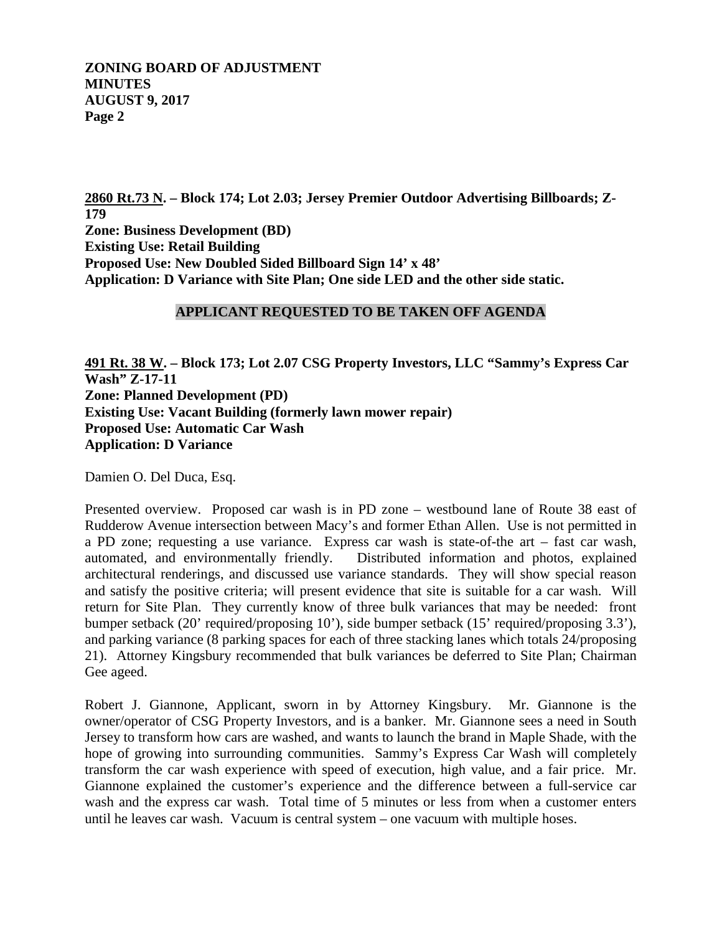### **ZONING BOARD OF ADJUSTMENT MINUTES AUGUST 9, 2017 Page 2**

**2860 Rt.73 N . – Block 174; Lot 2.03; Jersey Premier Outdoor Advertising Billboards; Z-Zone: Business Development (BD) 179 Existing Use: Retail Building Proposed Use: New Doubled Sided Billboard Sign 14' x 48' Application: D Variance with Site Plan; One side LED and the other side static.**

#### **APPLICANT REQUESTED TO BE TAKEN OFF AGENDA**

**491 Rt. 38 W . – Block 173; Lot 2.07 CSG Property Investors, LLC "Sammy's Express Car Zone: Planned Development (PD) Wash" Z-17-11 Existing Use: Vacant Building (formerly lawn mower repair) Proposed Use: Automatic Car Wash Application: D Variance**

Damien O. Del Duca, Esq.

Presented overview. Proposed car wash is in PD zone – westbound lane of Route 38 east of Rudderow Avenue intersection between Macy's and former Ethan Allen. Use is not permitted in a PD zone; requesting a use variance. Express car wash is state-of-the art – fast car wash, automated, and environmentally friendly. Distributed information and photos, explained architectural renderings, and discussed use variance standards. They will show special reason and satisfy the positive criteria; will present evidence that site is suitable for a car wash. Will return for Site Plan. They currently know of three bulk variances that may be needed: front bumper setback (20' required/proposing 10'), side bumper setback (15' required/proposing 3.3'), and parking variance (8 parking spaces for each of three stacking lanes which totals 24/proposing 21). Attorney Kingsbury recommended that bulk variances be deferred to Site Plan; Chairman Gee ageed.

Robert J. Giannone, Applicant, sworn in by Attorney Kingsbury. Mr. Giannone is the owner/operator of CSG Property Investors, and is a banker. Mr. Giannone sees a need in South Jersey to transform how cars are washed, and wants to launch the brand in Maple Shade, with the hope of growing into surrounding communities. Sammy's Express Car Wash will completely transform the car wash experience with speed of execution, high value, and a fair price. Mr. Giannone explained the customer's experience and the difference between a full-service car wash and the express car wash. Total time of 5 minutes or less from when a customer enters until he leaves car wash. Vacuum is central system – one vacuum with multiple hoses.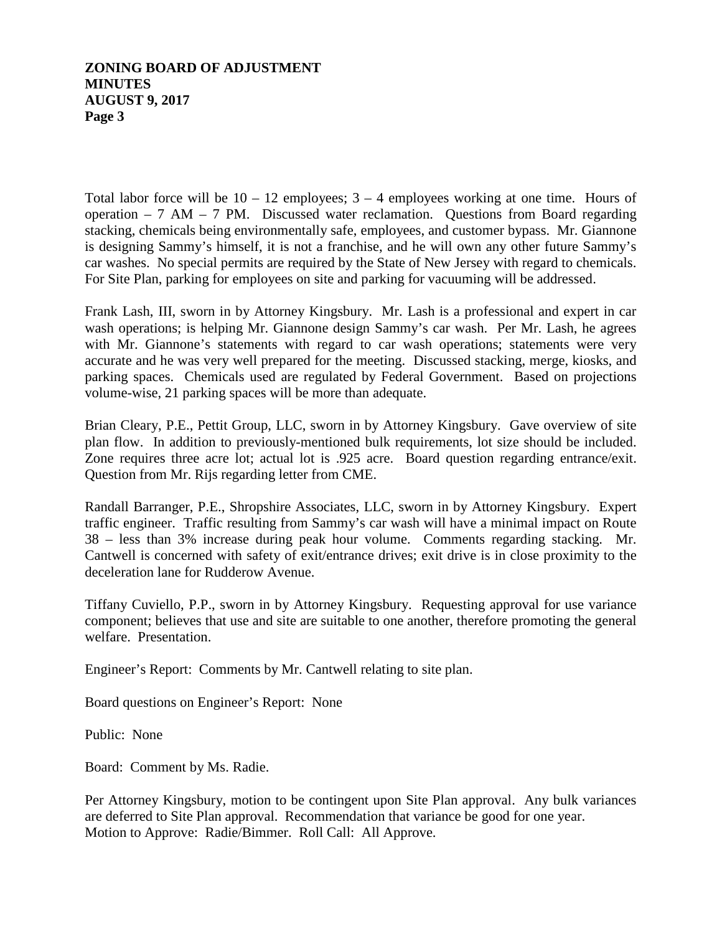### **ZONING BOARD OF ADJUSTMENT MINUTES AUGUST 9, 2017 Page 3**

Total labor force will be  $10 - 12$  employees;  $3 - 4$  employees working at one time. Hours of operation – 7 AM – 7 PM. Discussed water reclamation. Questions from Board regarding stacking, chemicals being environmentally safe, employees, and customer bypass. Mr. Giannone is designing Sammy's himself, it is not a franchise, and he will own any other future Sammy's car washes. No special permits are required by the State of New Jersey with regard to chemicals. For Site Plan, parking for employees on site and parking for vacuuming will be addressed.

Frank Lash, III, sworn in by Attorney Kingsbury. Mr. Lash is a professional and expert in car wash operations; is helping Mr. Giannone design Sammy's car wash. Per Mr. Lash, he agrees with Mr. Giannone's statements with regard to car wash operations; statements were very accurate and he was very well prepared for the meeting. Discussed stacking, merge, kiosks, and parking spaces. Chemicals used are regulated by Federal Government. Based on projections volume-wise, 21 parking spaces will be more than adequate.

Brian Cleary, P.E., Pettit Group, LLC, sworn in by Attorney Kingsbury. Gave overview of site plan flow. In addition to previously-mentioned bulk requirements, lot size should be included. Zone requires three acre lot; actual lot is .925 acre. Board question regarding entrance/exit. Question from Mr. Rijs regarding letter from CME.

Randall Barranger, P.E., Shropshire Associates, LLC, sworn in by Attorney Kingsbury. Expert traffic engineer. Traffic resulting from Sammy's car wash will have a minimal impact on Route 38 – less than 3% increase during peak hour volume. Comments regarding stacking. Mr. Cantwell is concerned with safety of exit/entrance drives; exit drive is in close proximity to the deceleration lane for Rudderow Avenue.

Tiffany Cuviello, P.P., sworn in by Attorney Kingsbury. Requesting approval for use variance component; believes that use and site are suitable to one another, therefore promoting the general welfare. Presentation.

Engineer's Report: Comments by Mr. Cantwell relating to site plan.

Board questions on Engineer's Report: None

Public: None

Board: Comment by Ms. Radie.

Per Attorney Kingsbury, motion to be contingent upon Site Plan approval. Any bulk variances are deferred to Site Plan approval. Recommendation that variance be good for one year. Motion to Approve: Radie/Bimmer. Roll Call: All Approve.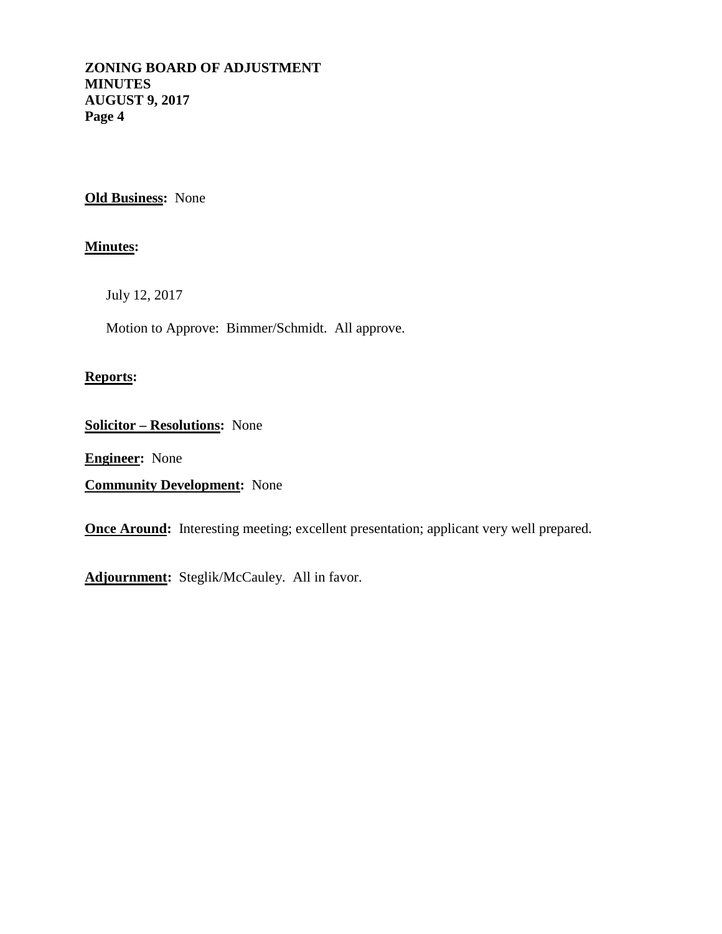**ZONING BOARD OF ADJUSTMENT MINUTES AUGUST 9, 2017 Page 4**

#### **Old Business:** None

### **Minutes:**

July 12, 2017

Motion to Approve: Bimmer/Schmidt. All approve.

### **Reports:**

**Solicitor – Resolutions:** None

**Engineer:** None

**Community Development:** None

**Once Around:** Interesting meeting; excellent presentation; applicant very well prepared.

**Adjournment:** Steglik/McCauley. All in favor.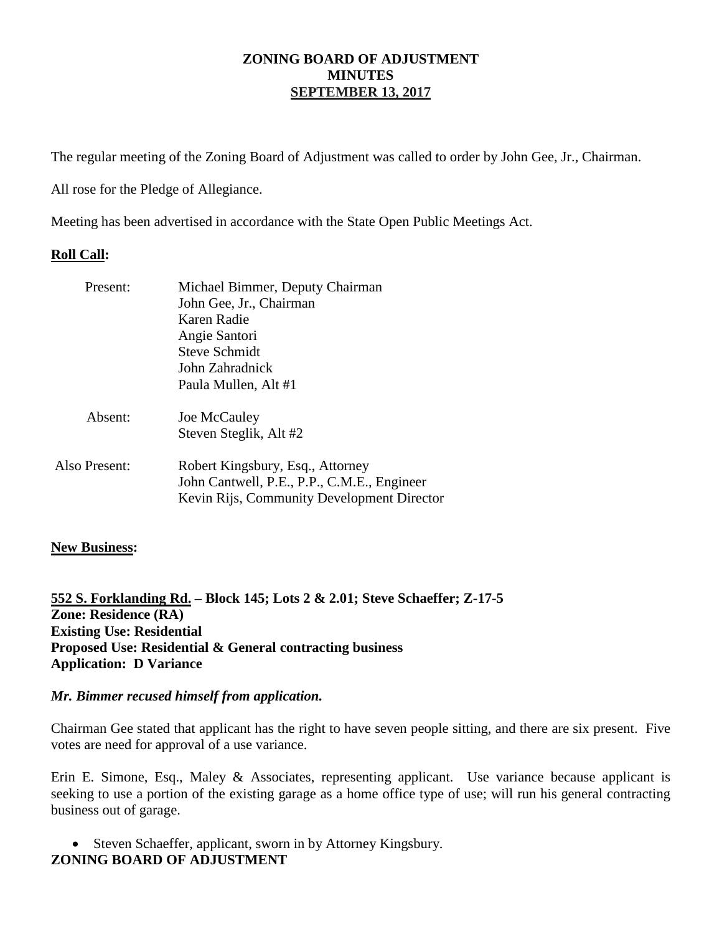The regular meeting of the Zoning Board of Adjustment was called to order by John Gee, Jr., Chairman.

All rose for the Pledge of Allegiance.

Meeting has been advertised in accordance with the State Open Public Meetings Act.

#### **Roll Call:**

| Present:      | Michael Bimmer, Deputy Chairman<br>John Gee, Jr., Chairman<br>Karen Radie<br>Angie Santori<br>Steve Schmidt<br>John Zahradnick<br>Paula Mullen, Alt #1 |
|---------------|--------------------------------------------------------------------------------------------------------------------------------------------------------|
| Absent:       | Joe McCauley<br>Steven Steglik, Alt #2                                                                                                                 |
| Also Present: | Robert Kingsbury, Esq., Attorney<br>John Cantwell, P.E., P.P., C.M.E., Engineer<br>Kevin Rijs, Community Development Director                          |

### **New Business:**

**552 S. Forklanding Rd. – Block 145; Lots 2 & 2.01; Steve Schaeffer; Z-17-5 Zone: Residence (RA) Existing Use: Residential Proposed Use: Residential & General contracting business Application: D Variance** 

### *Mr. Bimmer recused himself from application.*

Chairman Gee stated that applicant has the right to have seven people sitting, and there are six present. Five votes are need for approval of a use variance.

Erin E. Simone, Esq., Maley & Associates, representing applicant. Use variance because applicant is seeking to use a portion of the existing garage as a home office type of use; will run his general contracting business out of garage.

• Steven Schaeffer, applicant, sworn in by Attorney Kingsbury.

# **ZONING BOARD OF ADJUSTMENT**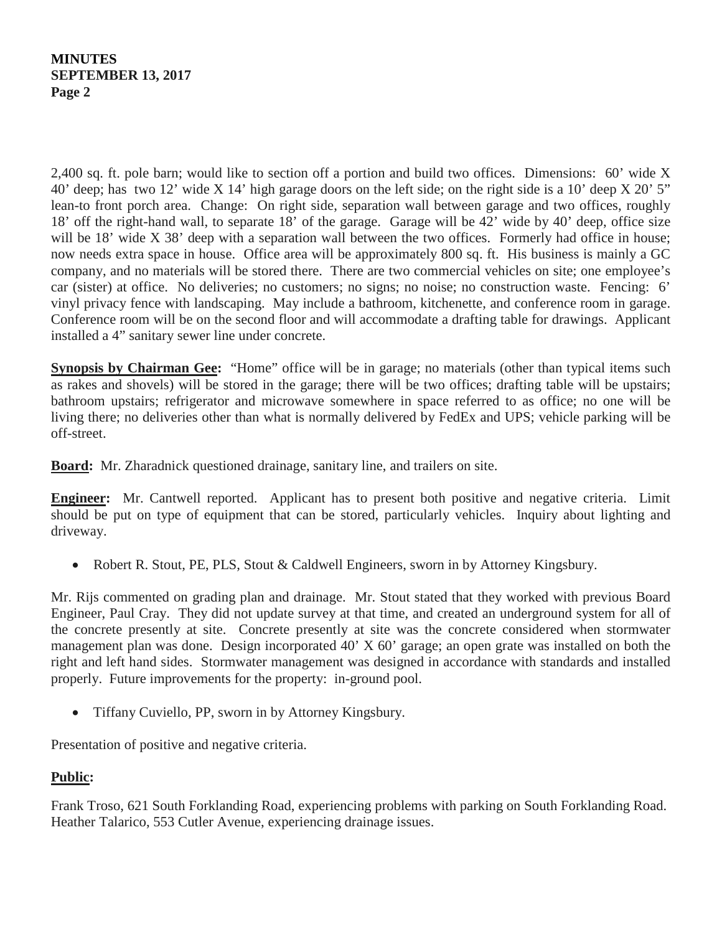## **MINUTES SEPTEMBER 13, 2017 Page 2**

2,400 sq. ft. pole barn; would like to section off a portion and build two offices. Dimensions: 60' wide X 40' deep; has two 12' wide X 14' high garage doors on the left side; on the right side is a 10' deep X 20' 5" lean-to front porch area. Change: On right side, separation wall between garage and two offices, roughly 18' off the right-hand wall, to separate 18' of the garage. Garage will be 42' wide by 40' deep, office size will be 18' wide X 38' deep with a separation wall between the two offices. Formerly had office in house; now needs extra space in house. Office area will be approximately 800 sq. ft. His business is mainly a GC company, and no materials will be stored there. There are two commercial vehicles on site; one employee's car (sister) at office. No deliveries; no customers; no signs; no noise; no construction waste. Fencing: 6' vinyl privacy fence with landscaping. May include a bathroom, kitchenette, and conference room in garage. Conference room will be on the second floor and will accommodate a drafting table for drawings. Applicant installed a 4" sanitary sewer line under concrete.

**Synopsis by Chairman Gee:** "Home" office will be in garage; no materials (other than typical items such as rakes and shovels) will be stored in the garage; there will be two offices; drafting table will be upstairs; bathroom upstairs; refrigerator and microwave somewhere in space referred to as office; no one will be living there; no deliveries other than what is normally delivered by FedEx and UPS; vehicle parking will be off-street.

**Board:** Mr. Zharadnick questioned drainage, sanitary line, and trailers on site.

**Engineer:** Mr. Cantwell reported. Applicant has to present both positive and negative criteria. Limit should be put on type of equipment that can be stored, particularly vehicles. Inquiry about lighting and driveway.

• Robert R. Stout, PE, PLS, Stout & Caldwell Engineers, sworn in by Attorney Kingsbury.

Mr. Rijs commented on grading plan and drainage. Mr. Stout stated that they worked with previous Board Engineer, Paul Cray. They did not update survey at that time, and created an underground system for all of the concrete presently at site. Concrete presently at site was the concrete considered when stormwater management plan was done. Design incorporated 40' X 60' garage; an open grate was installed on both the right and left hand sides. Stormwater management was designed in accordance with standards and installed properly. Future improvements for the property: in-ground pool.

• Tiffany Cuviello, PP, sworn in by Attorney Kingsbury.

Presentation of positive and negative criteria.

### **Public:**

Frank Troso, 621 South Forklanding Road, experiencing problems with parking on South Forklanding Road. Heather Talarico, 553 Cutler Avenue, experiencing drainage issues.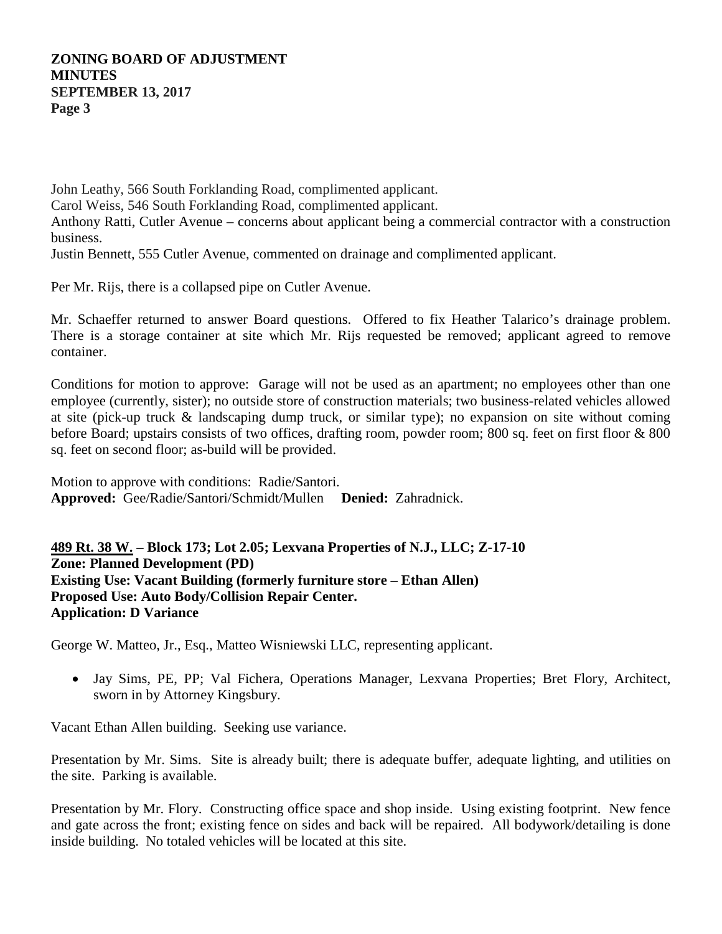John Leathy, 566 South Forklanding Road, complimented applicant. Carol Weiss, 546 South Forklanding Road, complimented applicant. Anthony Ratti, Cutler Avenue – concerns about applicant being a commercial contractor with a construction business.

Justin Bennett, 555 Cutler Avenue, commented on drainage and complimented applicant.

Per Mr. Rijs, there is a collapsed pipe on Cutler Avenue.

Mr. Schaeffer returned to answer Board questions. Offered to fix Heather Talarico's drainage problem. There is a storage container at site which Mr. Rijs requested be removed; applicant agreed to remove container.

Conditions for motion to approve: Garage will not be used as an apartment; no employees other than one employee (currently, sister); no outside store of construction materials; two business-related vehicles allowed at site (pick-up truck & landscaping dump truck, or similar type); no expansion on site without coming before Board; upstairs consists of two offices, drafting room, powder room; 800 sq. feet on first floor & 800 sq. feet on second floor; as-build will be provided.

Motion to approve with conditions: Radie/Santori. **Approved:** Gee/Radie/Santori/Schmidt/Mullen **Denied:** Zahradnick.

## **489 Rt. 38 W. – Block 173; Lot 2.05; Lexvana Properties of N.J., LLC; Z-17-10 Zone: Planned Development (PD) Existing Use: Vacant Building (formerly furniture store – Ethan Allen) Proposed Use: Auto Body/Collision Repair Center. Application: D Variance**

George W. Matteo, Jr., Esq., Matteo Wisniewski LLC, representing applicant.

• Jay Sims, PE, PP; Val Fichera, Operations Manager, Lexvana Properties; Bret Flory, Architect, sworn in by Attorney Kingsbury.

Vacant Ethan Allen building. Seeking use variance.

Presentation by Mr. Sims. Site is already built; there is adequate buffer, adequate lighting, and utilities on the site. Parking is available.

Presentation by Mr. Flory. Constructing office space and shop inside. Using existing footprint. New fence and gate across the front; existing fence on sides and back will be repaired. All bodywork/detailing is done inside building. No totaled vehicles will be located at this site.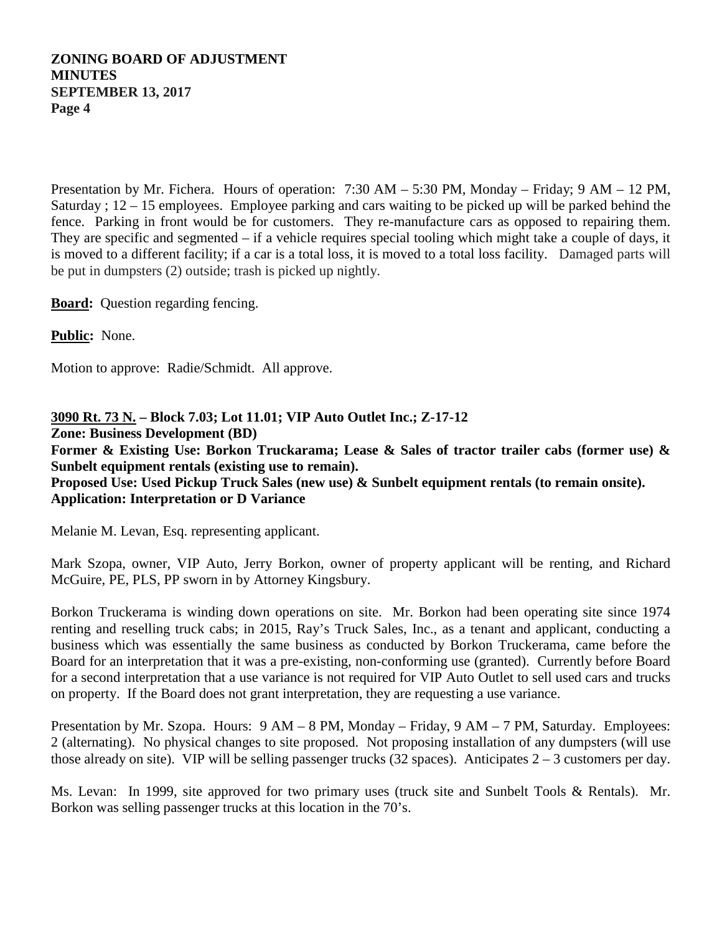Presentation by Mr. Fichera. Hours of operation: 7:30 AM – 5:30 PM, Monday – Friday; 9 AM – 12 PM, Saturday ; 12 – 15 employees. Employee parking and cars waiting to be picked up will be parked behind the fence. Parking in front would be for customers. They re-manufacture cars as opposed to repairing them. They are specific and segmented – if a vehicle requires special tooling which might take a couple of days, it is moved to a different facility; if a car is a total loss, it is moved to a total loss facility. Damaged parts will be put in dumpsters (2) outside; trash is picked up nightly.

**Board:** Question regarding fencing.

**Public:** None.

Motion to approve: Radie/Schmidt. All approve.

# **3090 Rt. 73 N. – Block 7.03; Lot 11.01; VIP Auto Outlet Inc.; Z-17-12**

**Zone: Business Development (BD)**

**Former & Existing Use: Borkon Truckarama; Lease & Sales of tractor trailer cabs (former use) & Sunbelt equipment rentals (existing use to remain).**

# **Proposed Use: Used Pickup Truck Sales (new use) & Sunbelt equipment rentals (to remain onsite). Application: Interpretation or D Variance**

Melanie M. Levan, Esq. representing applicant.

Mark Szopa, owner, VIP Auto, Jerry Borkon, owner of property applicant will be renting, and Richard McGuire, PE, PLS, PP sworn in by Attorney Kingsbury.

Borkon Truckerama is winding down operations on site. Mr. Borkon had been operating site since 1974 renting and reselling truck cabs; in 2015, Ray's Truck Sales, Inc., as a tenant and applicant, conducting a business which was essentially the same business as conducted by Borkon Truckerama, came before the Board for an interpretation that it was a pre-existing, non-conforming use (granted). Currently before Board for a second interpretation that a use variance is not required for VIP Auto Outlet to sell used cars and trucks on property. If the Board does not grant interpretation, they are requesting a use variance.

Presentation by Mr. Szopa. Hours: 9 AM – 8 PM, Monday – Friday, 9 AM – 7 PM, Saturday. Employees: 2 (alternating). No physical changes to site proposed. Not proposing installation of any dumpsters (will use those already on site). VIP will be selling passenger trucks (32 spaces). Anticipates  $2 - 3$  customers per day.

Ms. Levan: In 1999, site approved for two primary uses (truck site and Sunbelt Tools & Rentals). Mr. Borkon was selling passenger trucks at this location in the 70's.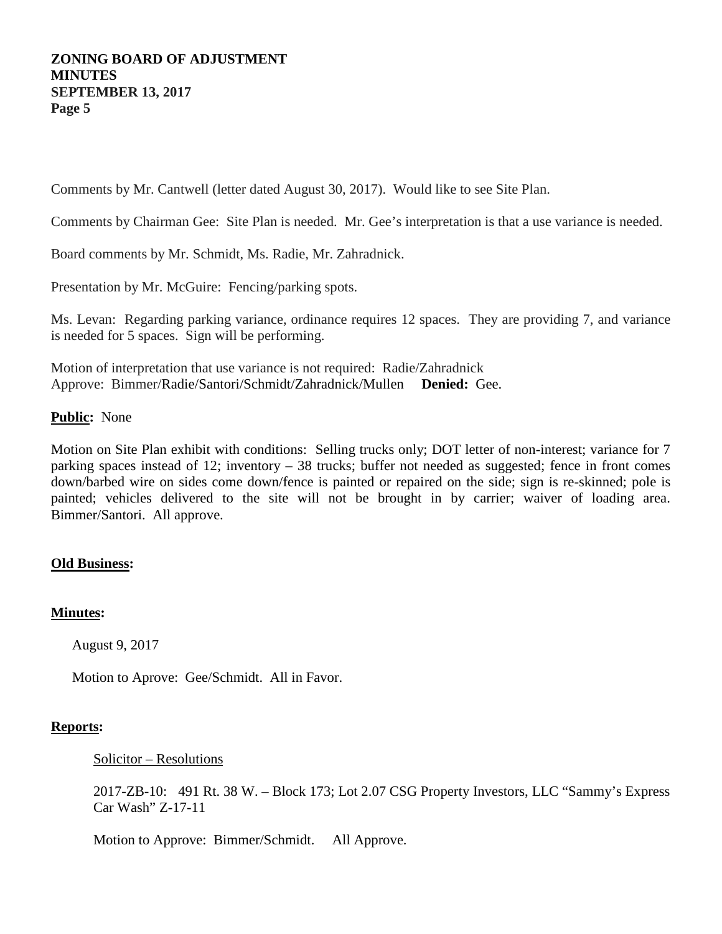Comments by Mr. Cantwell (letter dated August 30, 2017). Would like to see Site Plan.

Comments by Chairman Gee: Site Plan is needed. Mr. Gee's interpretation is that a use variance is needed.

Board comments by Mr. Schmidt, Ms. Radie, Mr. Zahradnick.

Presentation by Mr. McGuire: Fencing/parking spots.

Ms. Levan: Regarding parking variance, ordinance requires 12 spaces. They are providing 7, and variance is needed for 5 spaces. Sign will be performing.

Motion of interpretation that use variance is not required: Radie/Zahradnick Approve: Bimmer/Radie/Santori/Schmidt/Zahradnick/Mullen **Denied:** Gee.

### **Public:** None

Motion on Site Plan exhibit with conditions: Selling trucks only; DOT letter of non-interest; variance for 7 parking spaces instead of 12; inventory – 38 trucks; buffer not needed as suggested; fence in front comes down/barbed wire on sides come down/fence is painted or repaired on the side; sign is re-skinned; pole is painted; vehicles delivered to the site will not be brought in by carrier; waiver of loading area. Bimmer/Santori. All approve.

### **Old Business:**

#### **Minutes:**

August 9, 2017

Motion to Aprove: Gee/Schmidt. All in Favor.

#### **Reports:**

#### Solicitor – Resolutions

2017-ZB-10: 491 Rt. 38 W. – Block 173; Lot 2.07 CSG Property Investors, LLC "Sammy's Express Car Wash" Z-17-11

Motion to Approve: Bimmer/Schmidt. All Approve.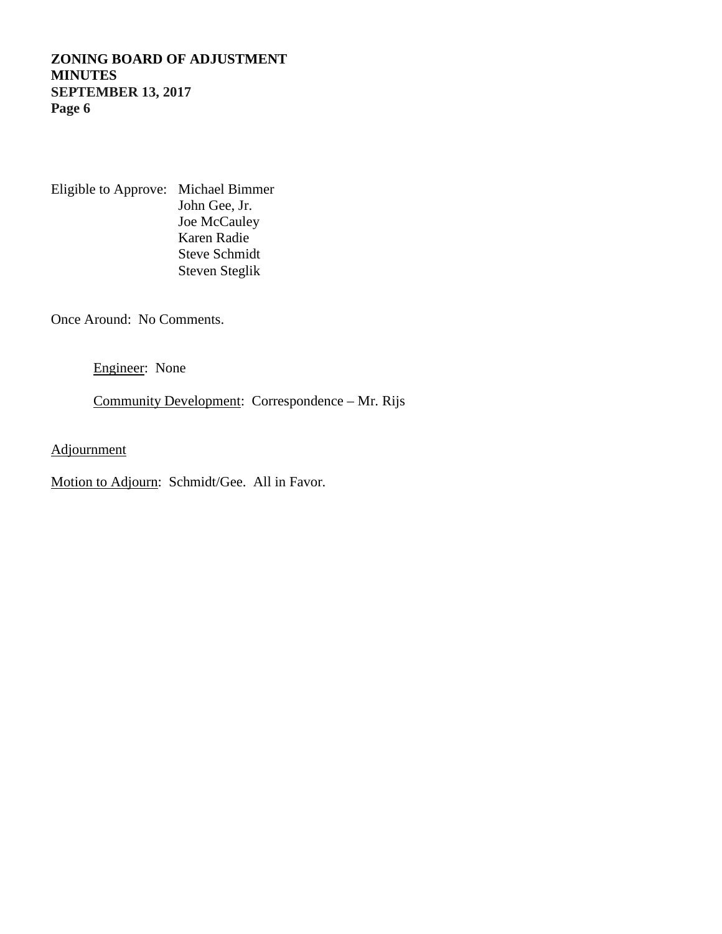Eligible to Approve: Michael Bimmer John Gee, Jr. Joe McCauley Karen Radie Steve Schmidt Steven Steglik

Once Around: No Comments.

Engineer: None

Community Development: Correspondence – Mr. Rijs

Adjournment

Motion to Adjourn: Schmidt/Gee. All in Favor.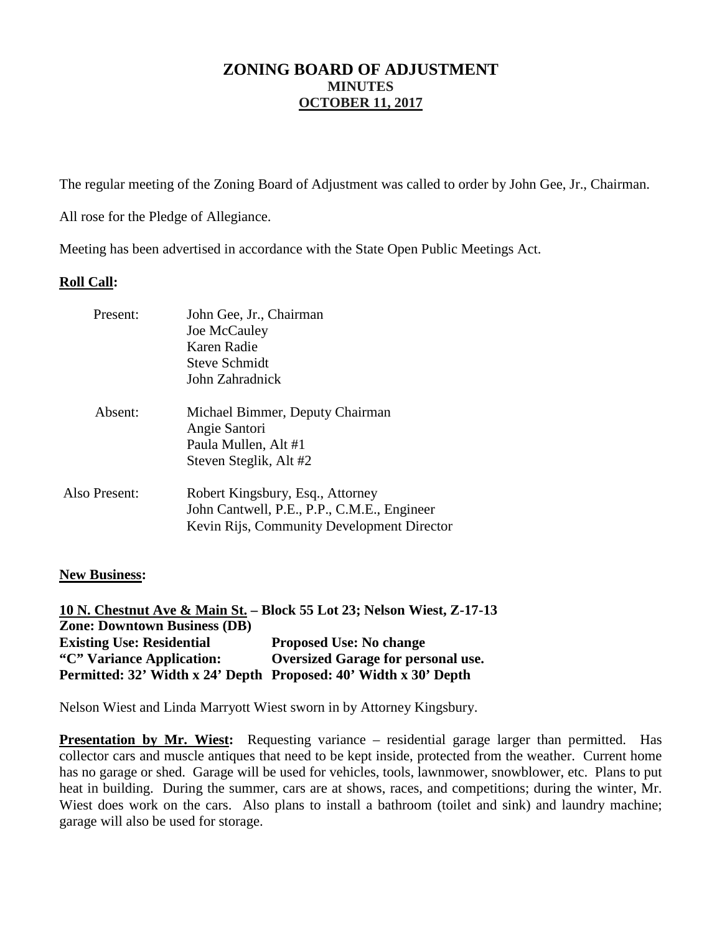# **ZONING BOARD OF ADJUSTMENT MINUTES OCTOBER 11, 2017**

The regular meeting of the Zoning Board of Adjustment was called to order by John Gee, Jr., Chairman.

All rose for the Pledge of Allegiance.

Meeting has been advertised in accordance with the State Open Public Meetings Act.

### **Roll Call:**

| Present:      | John Gee, Jr., Chairman                     |
|---------------|---------------------------------------------|
|               | Joe McCauley                                |
|               | Karen Radie                                 |
|               | Steve Schmidt                               |
|               | John Zahradnick                             |
| Absent:       | Michael Bimmer, Deputy Chairman             |
|               | Angie Santori                               |
|               | Paula Mullen, Alt #1                        |
|               | Steven Steglik, Alt #2                      |
| Also Present: | Robert Kingsbury, Esq., Attorney            |
|               | John Cantwell, P.E., P.P., C.M.E., Engineer |
|               | Kevin Rijs, Community Development Director  |
|               |                                             |

#### **New Business:**

**10 N. Chestnut Ave & Main St. – Block 55 Lot 23; Nelson Wiest, Z-17-13 Zone: Downtown Business (DB) Existing Use: Residential Proposed Use: No change "C" Variance Application: Oversized Garage for personal use. Permitted: 32' Width x 24' Depth Proposed: 40' Width x 30' Depth**

Nelson Wiest and Linda Marryott Wiest sworn in by Attorney Kingsbury.

**Presentation by Mr. Wiest:** Requesting variance – residential garage larger than permitted. Has collector cars and muscle antiques that need to be kept inside, protected from the weather. Current home has no garage or shed. Garage will be used for vehicles, tools, lawnmower, snowblower, etc. Plans to put heat in building. During the summer, cars are at shows, races, and competitions; during the winter, Mr. Wiest does work on the cars. Also plans to install a bathroom (toilet and sink) and laundry machine; garage will also be used for storage.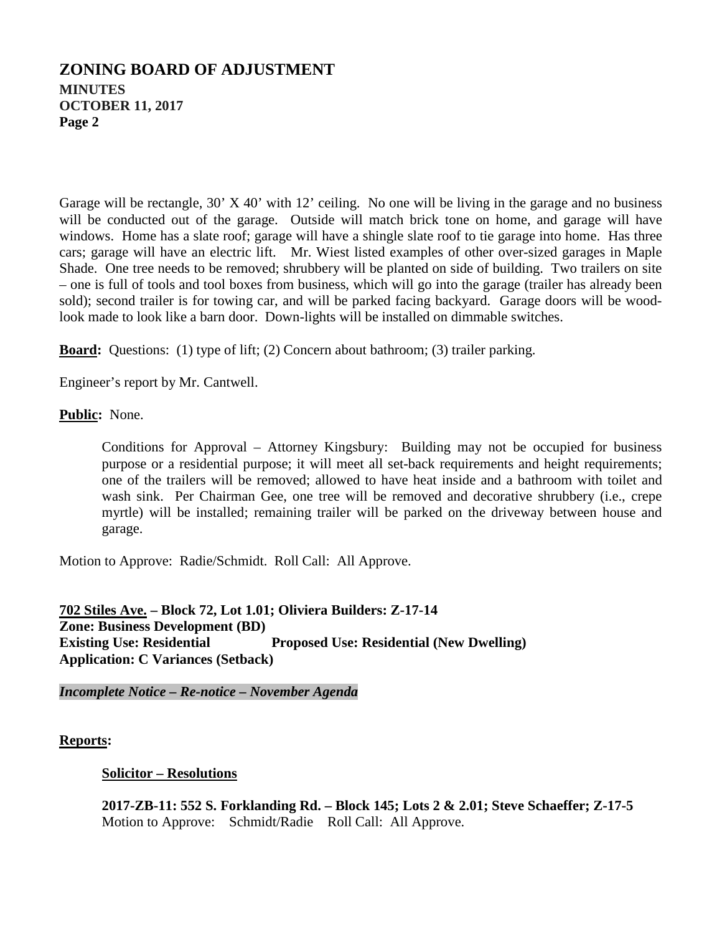Garage will be rectangle,  $30'$  X 40' with 12' ceiling. No one will be living in the garage and no business will be conducted out of the garage. Outside will match brick tone on home, and garage will have windows. Home has a slate roof; garage will have a shingle slate roof to tie garage into home. Has three cars; garage will have an electric lift. Mr. Wiest listed examples of other over-sized garages in Maple Shade. One tree needs to be removed; shrubbery will be planted on side of building. Two trailers on site – one is full of tools and tool boxes from business, which will go into the garage (trailer has already been sold); second trailer is for towing car, and will be parked facing backyard. Garage doors will be woodlook made to look like a barn door. Down-lights will be installed on dimmable switches.

**Board:** Questions: (1) type of lift; (2) Concern about bathroom; (3) trailer parking.

Engineer's report by Mr. Cantwell.

#### **Public:** None.

Conditions for Approval – Attorney Kingsbury: Building may not be occupied for business purpose or a residential purpose; it will meet all set-back requirements and height requirements; one of the trailers will be removed; allowed to have heat inside and a bathroom with toilet and wash sink. Per Chairman Gee, one tree will be removed and decorative shrubbery (i.e., crepe myrtle) will be installed; remaining trailer will be parked on the driveway between house and garage.

Motion to Approve: Radie/Schmidt. Roll Call: All Approve.

**702 Stiles Ave. – Block 72, Lot 1.01; Oliviera Builders: Z-17-14 Zone: Business Development (BD) Existing Use: Residential Proposed Use: Residential (New Dwelling) Application: C Variances (Setback)**

*Incomplete Notice – Re-notice – November Agenda*

**Reports:**

**Solicitor – Resolutions**

**2017-ZB-11: 552 S. Forklanding Rd. – Block 145; Lots 2 & 2.01; Steve Schaeffer; Z-17-5** Motion to Approve: Schmidt/Radie Roll Call: All Approve.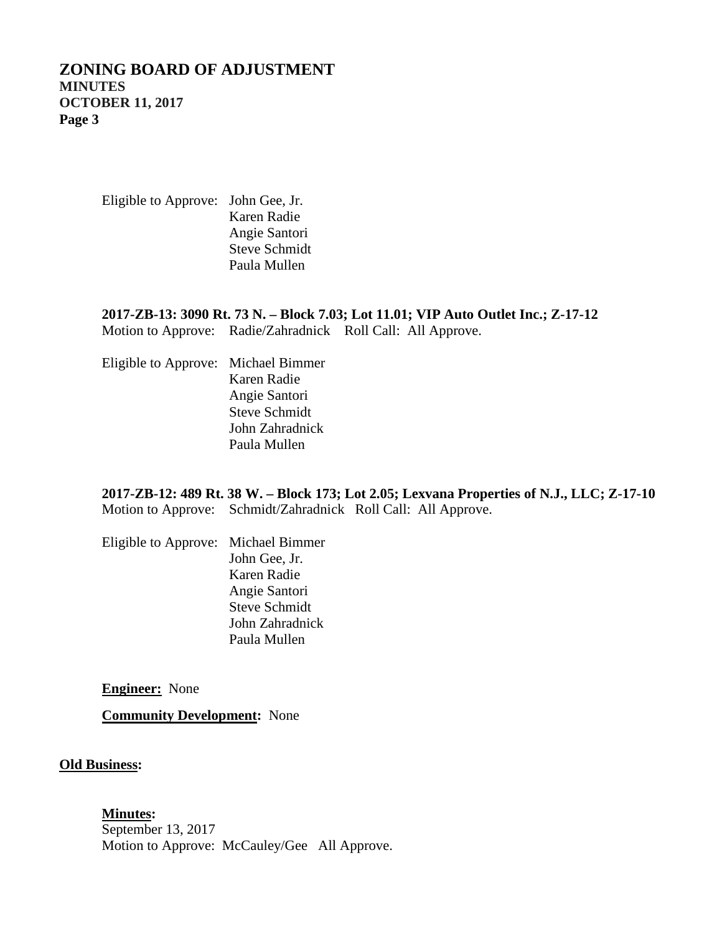Eligible to Approve: John Gee, Jr. Karen Radie Angie Santori Steve Schmidt Paula Mullen

#### **2017-ZB-13: 3090 Rt. 73 N. – Block 7.03; Lot 11.01; VIP Auto Outlet Inc.; Z-17-12**

Motion to Approve: Radie/Zahradnick Roll Call: All Approve.

Eligible to Approve: Michael Bimmer Karen Radie Angie Santori Steve Schmidt John Zahradnick Paula Mullen

**2017-ZB-12: 489 Rt. 38 W. – Block 173; Lot 2.05; Lexvana Properties of N.J., LLC; Z-17-10** Motion to Approve: Schmidt/Zahradnick Roll Call: All Approve.

Eligible to Approve: Michael Bimmer John Gee, Jr. Karen Radie Angie Santori Steve Schmidt John Zahradnick Paula Mullen

**Engineer:** None

**Community Development:** None

#### **Old Business:**

**Minutes :**

September 13, 2017 Motion to Approve: McCauley/Gee All Approve.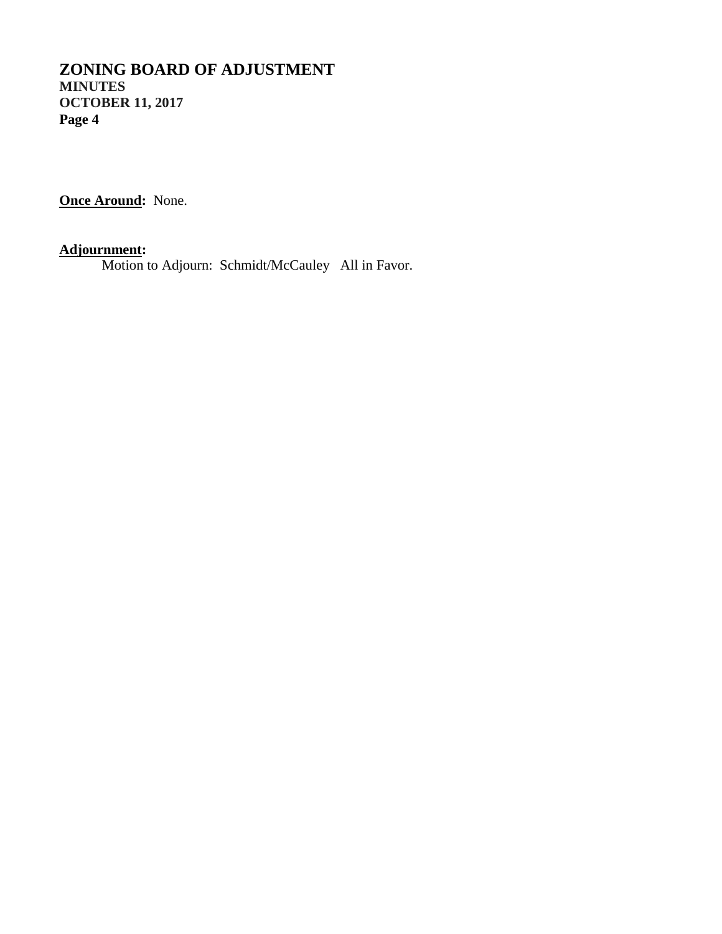**Once Around:** None.

#### **Adjournment :**

Motion to Adjourn: Schmidt/McCauley All in Favor.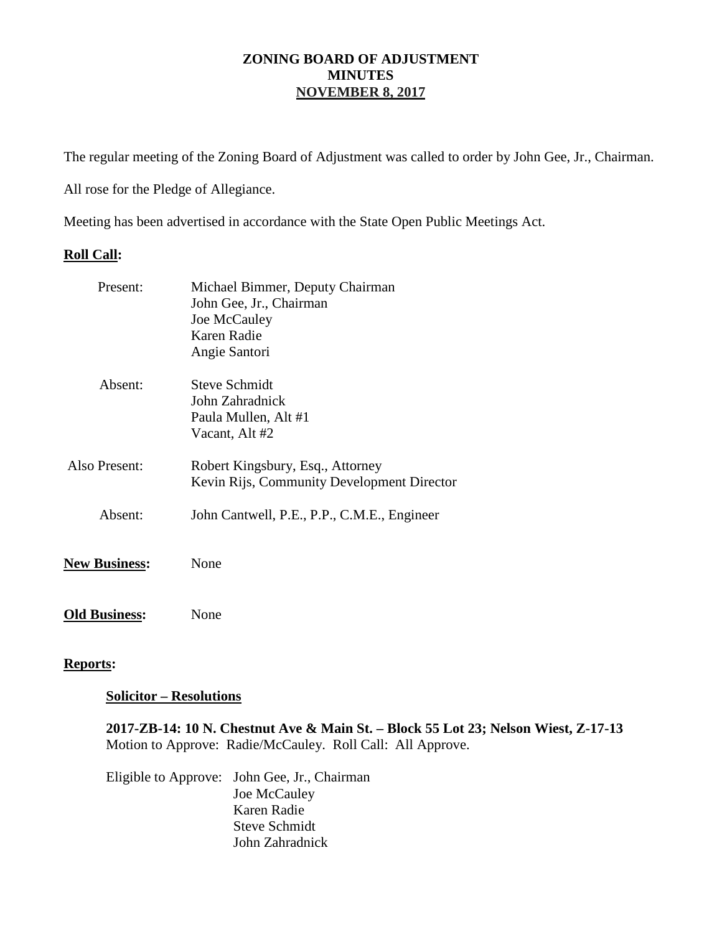### **ZONING BOARD OF ADJUSTMENT MINUTES NOVEMBER 8, 2017**

The regular meeting of the Zoning Board of Adjustment was called to order by John Gee, Jr., Chairman.

All rose for the Pledge of Allegiance.

Meeting has been advertised in accordance with the State Open Public Meetings Act.

#### **Roll Call:**

| Present:             | Michael Bimmer, Deputy Chairman<br>John Gee, Jr., Chairman<br>Joe McCauley<br>Karen Radie<br>Angie Santori |
|----------------------|------------------------------------------------------------------------------------------------------------|
| Absent:              | Steve Schmidt<br>John Zahradnick<br>Paula Mullen, Alt #1<br>Vacant, Alt #2                                 |
| Also Present:        | Robert Kingsbury, Esq., Attorney<br>Kevin Rijs, Community Development Director                             |
| Absent:              | John Cantwell, P.E., P.P., C.M.E., Engineer                                                                |
| <b>New Business:</b> | None                                                                                                       |
| <b>Old Business:</b> | None                                                                                                       |

#### **Reports:**

#### **Solicitor – Resolutions**

**2017-ZB-14: 10 N. Chestnut Ave & Main St. – Block 55 Lot 23; Nelson Wiest, Z-17-13** Motion to Approve: Radie/McCauley. Roll Call: All Approve.

Eligible to Approve: John Gee, Jr., Chairman Joe McCauley Karen Radie Steve Schmidt John Zahradnick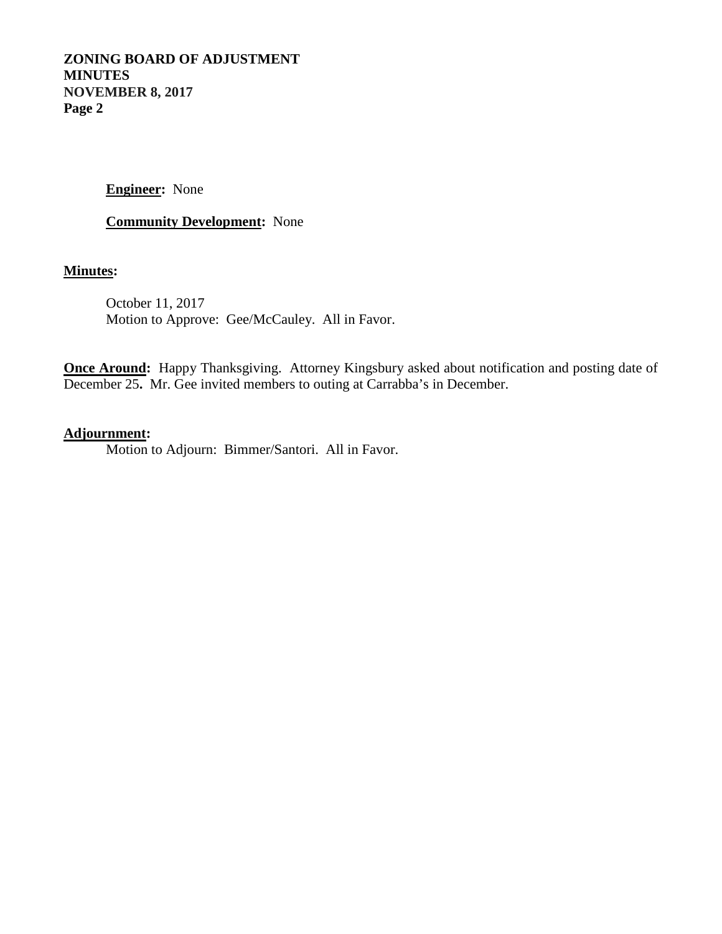### **Engineer:** None

### **Community Development:** None

#### **Minutes:**

October 11, 2017 Motion to Approve: Gee/McCauley. All in Favor.

**Once Around:** Happy Thanksgiving. Attorney Kingsbury asked about notification and posting date of December 25**.** Mr. Gee invited members to outing at Carrabba's in December.

#### **Adjournment :**

Motion to Adjourn: Bimmer/Santori. All in Favor.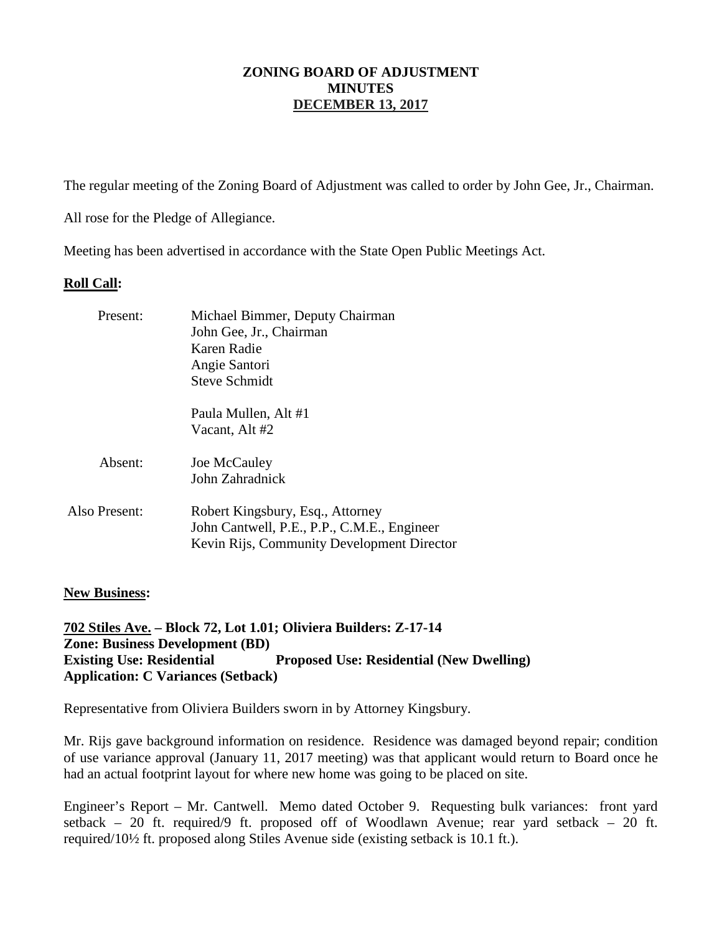### **ZONING BOARD OF ADJUSTMENT MINUTES DECEMBER 13, 2017**

The regular meeting of the Zoning Board of Adjustment was called to order by John Gee, Jr., Chairman.

All rose for the Pledge of Allegiance.

Meeting has been advertised in accordance with the State Open Public Meetings Act.

#### **Roll Call:**

| Present:      | Michael Bimmer, Deputy Chairman                                                                                               |
|---------------|-------------------------------------------------------------------------------------------------------------------------------|
|               | John Gee, Jr., Chairman                                                                                                       |
|               | Karen Radie                                                                                                                   |
|               | Angie Santori                                                                                                                 |
|               | <b>Steve Schmidt</b>                                                                                                          |
|               | Paula Mullen, Alt #1                                                                                                          |
|               | Vacant, Alt #2                                                                                                                |
| Absent:       | Joe McCauley                                                                                                                  |
|               | John Zahradnick                                                                                                               |
| Also Present: | Robert Kingsbury, Esq., Attorney<br>John Cantwell, P.E., P.P., C.M.E., Engineer<br>Kevin Rijs, Community Development Director |
|               |                                                                                                                               |

#### **New Business:**

**702 Stiles Ave. – Block 72, Lot 1.01; Oliviera Builders: Z-17-14 Zone: Business Development (BD) Existing Use: Residential Proposed Use: Residential (New Dwelling) Application: C Variances (Setback)**

Representative from Oliviera Builders sworn in by Attorney Kingsbury.

Mr. Rijs gave background information on residence. Residence was damaged beyond repair; condition of use variance approval (January 11, 2017 meeting) was that applicant would return to Board once he had an actual footprint layout for where new home was going to be placed on site.

Engineer's Report – Mr. Cantwell. Memo dated October 9. Requesting bulk variances: front yard setback – 20 ft. required/9 ft. proposed off of Woodlawn Avenue; rear yard setback – 20 ft. required/10½ ft. proposed along Stiles Avenue side (existing setback is 10.1 ft.).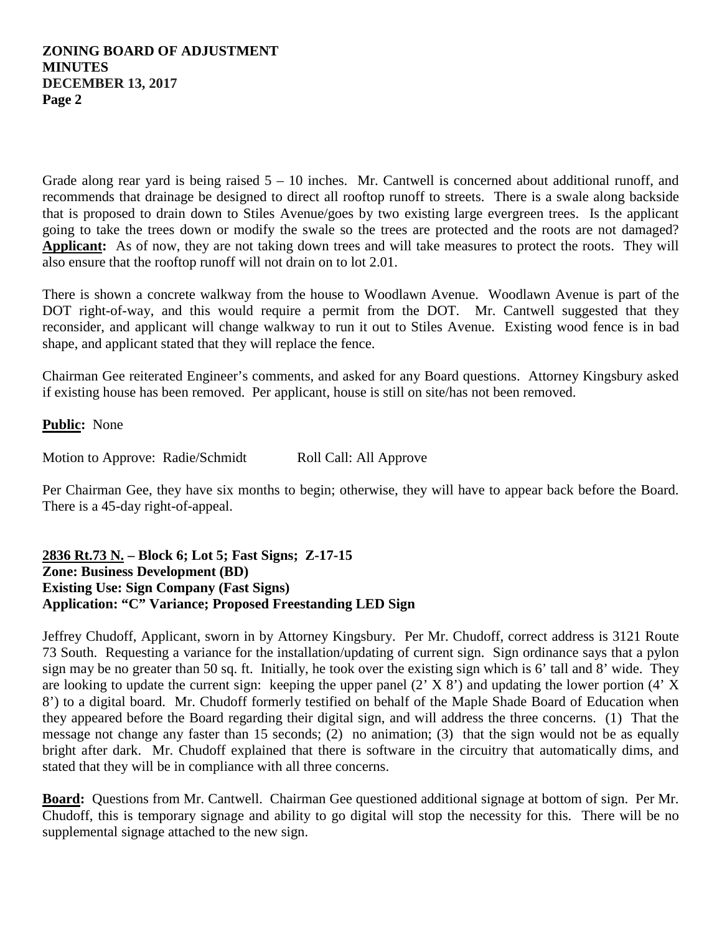Grade along rear yard is being raised  $5 - 10$  inches. Mr. Cantwell is concerned about additional runoff, and recommends that drainage be designed to direct all rooftop runoff to streets. There is a swale along backside that is proposed to drain down to Stiles Avenue/goes by two existing large evergreen trees. Is the applicant going to take the trees down or modify the swale so the trees are protected and the roots are not damaged? **Applicant:** As of now, they are not taking down trees and will take measures to protect the roots. They will also ensure that the rooftop runoff will not drain on to lot 2.01.

There is shown a concrete walkway from the house to Woodlawn Avenue. Woodlawn Avenue is part of the DOT right-of-way, and this would require a permit from the DOT. Mr. Cantwell suggested that they reconsider, and applicant will change walkway to run it out to Stiles Avenue. Existing wood fence is in bad shape, and applicant stated that they will replace the fence.

Chairman Gee reiterated Engineer's comments, and asked for any Board questions. Attorney Kingsbury asked if existing house has been removed. Per applicant, house is still on site/has not been removed.

#### **Public:** None

Motion to Approve: Radie/Schmidt Roll Call: All Approve

Per Chairman Gee, they have six months to begin; otherwise, they will have to appear back before the Board. There is a 45-day right-of-appeal.

### **2836 Rt.73 N. – Block 6; Lot 5; Fast Signs; Z-17-15 Zone: Business Development (BD) Existing Use: Sign Company (Fast Signs) Application: "C" Variance; Proposed Freestanding LED Sign**

Jeffrey Chudoff, Applicant, sworn in by Attorney Kingsbury. Per Mr. Chudoff, correct address is 3121 Route 73 South. Requesting a variance for the installation/updating of current sign. Sign ordinance says that a pylon sign may be no greater than 50 sq. ft. Initially, he took over the existing sign which is 6' tall and 8' wide. They are looking to update the current sign: keeping the upper panel (2' X 8') and updating the lower portion (4' X 8') to a digital board. Mr. Chudoff formerly testified on behalf of the Maple Shade Board of Education when they appeared before the Board regarding their digital sign, and will address the three concerns. (1) That the message not change any faster than 15 seconds; (2) no animation; (3) that the sign would not be as equally bright after dark. Mr. Chudoff explained that there is software in the circuitry that automatically dims, and stated that they will be in compliance with all three concerns.

**Board:** Questions from Mr. Cantwell. Chairman Gee questioned additional signage at bottom of sign. Per Mr. Chudoff, this is temporary signage and ability to go digital will stop the necessity for this. There will be no supplemental signage attached to the new sign.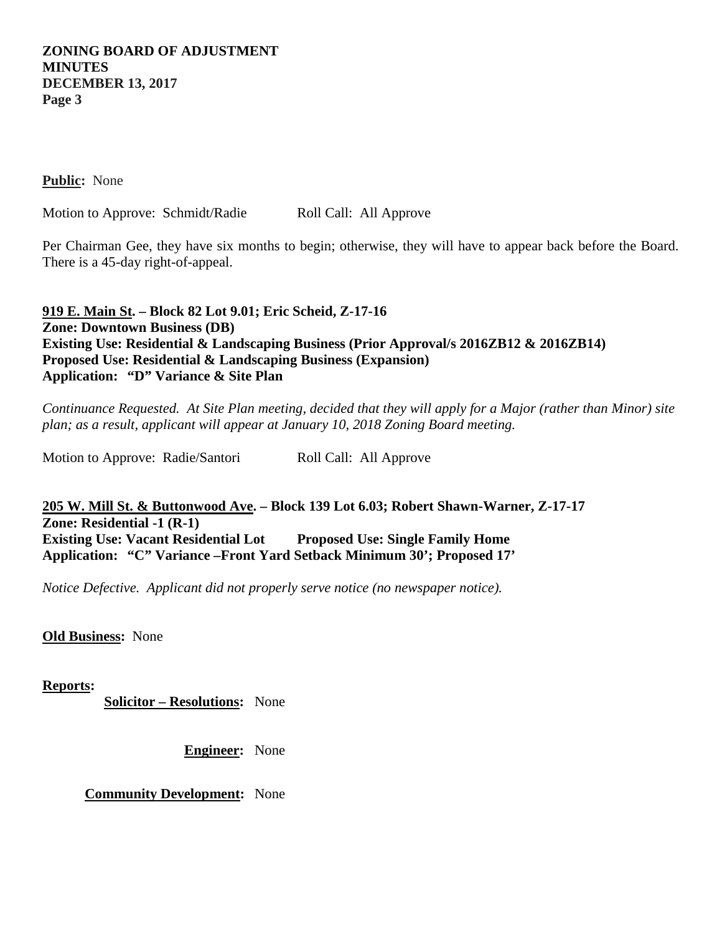**Public:** None

Motion to Approve: Schmidt/Radie Roll Call: All Approve

Per Chairman Gee, they have six months to begin; otherwise, they will have to appear back before the Board. There is a 45-day right-of-appeal.

**919 E. Main St . – Block 82 Lot 9.01; Eric Scheid, Z-17-16 Zone: Downtown Business (DB) Existing Use: Residential & Landscaping Business (Prior Approval/s 2016ZB12 & 2016ZB14) Proposed Use: Residential & Landscaping Business (Expansion) Application: "D" Variance & Site Plan**

*Continuance Requested. At Site Plan meeting, decided that they will apply for a Major (rather than Minor) site plan; as a result, applicant will appear at January 10, 2018 Zoning Board meeting.* 

Motion to Approve: Radie/Santori Roll Call: All Approve

**205 W. Mill St. & Buttonwood Ave . – Block 139 Lot 6.03; Robert Shawn-Warner, Z-17-17 Zone: Residential -1 (R-1) Existing Use: Vacant Residential Lot Proposed Use: Single Family Home Application: "C" Variance –Front Yard Setback Minimum 30'; Proposed 17'**

*Notice Defective. Applicant did not properly serve notice (no newspaper notice).* 

**Old Business:** None

**Reports: Solicitor – Resolutions:** None

**Engineer:** None

**Community Development:** None